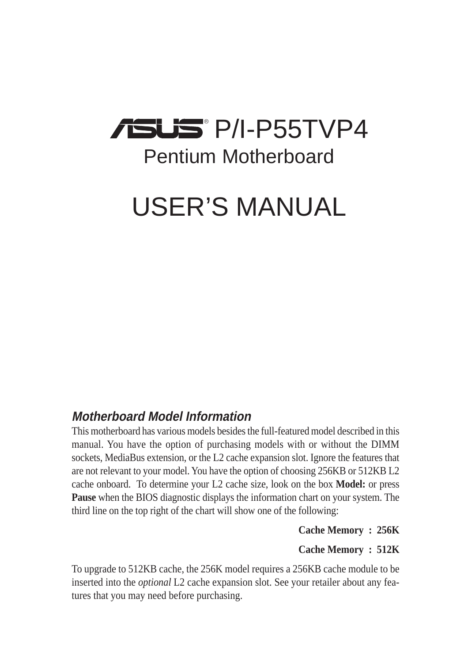

# USER'S MANUAL

### **Motherboard Model Information**

This motherboard has various models besides the full-featured model described in this manual. You have the option of purchasing models with or without the DIMM sockets, MediaBus extension, or the L2 cache expansion slot. Ignore the features that are not relevant to your model. You have the option of choosing 256KB or 512KB L2 cache onboard. To determine your L2 cache size, look on the box **Model:** or press **Pause** when the BIOS diagnostic displays the information chart on your system. The third line on the top right of the chart will show one of the following:

**Cache Memory : 256K**

#### **Cache Memory : 512K**

To upgrade to 512KB cache, the 256K model requires a 256KB cache module to be inserted into the *optional* L2 cache expansion slot. See your retailer about any features that you may need before purchasing.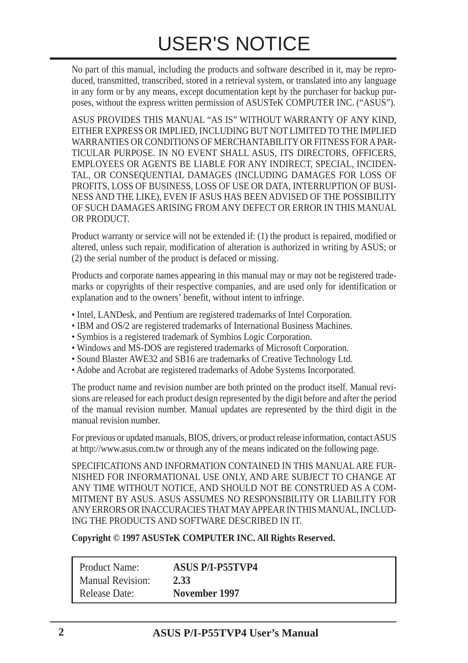No part of this manual, including the products and software described in it, may be reproduced, transmitted, transcribed, stored in a retrieval system, or translated into any language in any form or by any means, except documentation kept by the purchaser for backup purposes, without the express written permission of ASUSTeK COMPUTER INC. ("ASUS").

ASUS PROVIDES THIS MANUAL "AS IS" WITHOUT WARRANTY OF ANY KIND, EITHER EXPRESS OR IMPLIED, INCLUDING BUT NOT LIMITED TO THE IMPLIED WARRANTIES OR CONDITIONS OF MERCHANTABILITY OR FITNESS FOR A PAR-TICULAR PURPOSE. IN NO EVENT SHALL ASUS, ITS DIRECTORS, OFFICERS, EMPLOYEES OR AGENTS BE LIABLE FOR ANY INDIRECT, SPECIAL, INCIDEN-TAL, OR CONSEQUENTIAL DAMAGES (INCLUDING DAMAGES FOR LOSS OF PROFITS, LOSS OF BUSINESS, LOSS OF USE OR DATA, INTERRUPTION OF BUSI-NESS AND THE LIKE), EVEN IF ASUS HAS BEEN ADVISED OF THE POSSIBILITY OF SUCH DAMAGES ARISING FROM ANY DEFECT OR ERROR IN THIS MANUAL OR PRODUCT.

Product warranty or service will not be extended if: (1) the product is repaired, modified or altered, unless such repair, modification of alteration is authorized in writing by ASUS; or (2) the serial number of the product is defaced or missing.

Products and corporate names appearing in this manual may or may not be registered trademarks or copyrights of their respective companies, and are used only for identification or explanation and to the owners' benefit, without intent to infringe.

- Intel, LANDesk, and Pentium are registered trademarks of Intel Corporation.
- IBM and OS/2 are registered trademarks of International Business Machines.
- Symbios is a registered trademark of Symbios Logic Corporation.
- Windows and MS-DOS are registered trademarks of Microsoft Corporation.
- Sound Blaster AWE32 and SB16 are trademarks of Creative Technology Ltd.
- Adobe and Acrobat are registered trademarks of Adobe Systems Incorporated.

The product name and revision number are both printed on the product itself. Manual revisions are released for each product design represented by the digit before and after the period of the manual revision number. Manual updates are represented by the third digit in the manual revision number.

For previous or updated manuals, BIOS, drivers, or product release information, contact ASUS at http://www.asus.com.tw or through any of the means indicated on the following page.

SPECIFICATIONS AND INFORMATION CONTAINED IN THIS MANUAL ARE FUR-NISHED FOR INFORMATIONAL USE ONLY, AND ARE SUBJECT TO CHANGE AT ANY TIME WITHOUT NOTICE, AND SHOULD NOT BE CONSTRUED AS A COM-MITMENT BY ASUS. ASUS ASSUMES NO RESPONSIBILITY OR LIABILITY FOR ANY ERRORS OR INACCURACIES THAT MAY APPEAR IN THIS MANUAL, INCLUD-ING THE PRODUCTS AND SOFTWARE DESCRIBED IN IT.

**Copyright © 1997 ASUSTeK COMPUTER INC. All Rights Reserved.**

| Product Name:           | <b>ASUS P/I-P55TVP4</b> |
|-------------------------|-------------------------|
| <b>Manual Revision:</b> | 2.33                    |
| Release Date:           | November 1997           |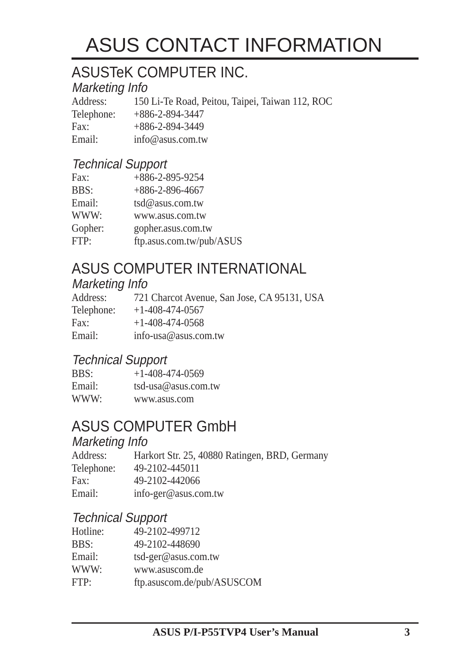# ASUS CONTACT INFORMATION

### ASUSTeK COMPUTER INC.

### Marketing Info

Address: 150 Li-Te Road, Peitou, Taipei, Taiwan 112, ROC Telephone: +886-2-894-3447 Fax:  $+886-2-894-3449$ Email: info@asus.com.tw

### Technical Support

| Fax:    | $+886 - 2 - 895 - 9254$  |
|---------|--------------------------|
| BBS:    | $+886 - 2 - 896 - 4667$  |
| Email:  | tsd@asus.com.tw          |
| WWW:    | www.asus.com.tw          |
| Gopher: | gopher.asus.com.tw       |
| FTP:    | ftp.asus.com.tw/pub/ASUS |

# ASUS COMPUTER INTERNATIONAL

### Marketing Info

| Address:   | 721 Charcot Avenue, San Jose, CA 95131, USA |
|------------|---------------------------------------------|
| Telephone: | $+1-408-474-0567$                           |
| Fax:       | $+1 - 408 - 474 - 0568$                     |
| Email:     | info-usa@asus.com.tw                        |

#### Technical Support

| BBS:   | $+1-408-474-0569$      |
|--------|------------------------|
| Email: | $tsd-usa@assus.com.tw$ |
| WWW:   | www.asus.com           |

## ASUS COMPUTER GmbH

#### Marketing Info

| Address:   | Harkort Str. 25, 40880 Ratingen, BRD, Germany |
|------------|-----------------------------------------------|
| Telephone: | 49-2102-445011                                |
| Fax:       | 49-2102-442066                                |
| Email:     | info-ger@asus.com.tw                          |

#### Technical Support

| Hotline: | 49-2102-499712             |
|----------|----------------------------|
| BBS:     | 49-2102-448690             |
| Email:   | $tsd-ger@assus.com.tw$     |
| WWW:     | www.asuscom.de             |
| FTP:     | ftp.asuscom.de/pub/ASUSCOM |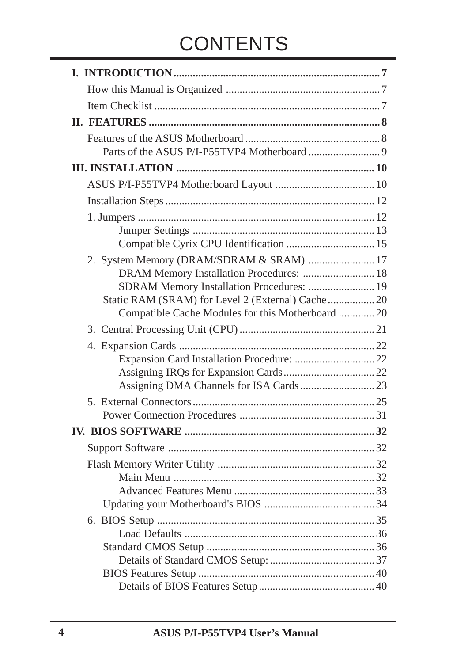# **CONTENTS**

| Compatible Cyrix CPU Identification  15          |
|--------------------------------------------------|
|                                                  |
| DRAM Memory Installation Procedures:  18         |
| SDRAM Memory Installation Procedures:  19        |
|                                                  |
| Compatible Cache Modules for this Motherboard 20 |
|                                                  |
|                                                  |
|                                                  |
|                                                  |
|                                                  |
|                                                  |
| Power Connection Procedures<br>31                |
|                                                  |
|                                                  |
|                                                  |
|                                                  |
|                                                  |
|                                                  |
|                                                  |
|                                                  |
|                                                  |
|                                                  |
|                                                  |
|                                                  |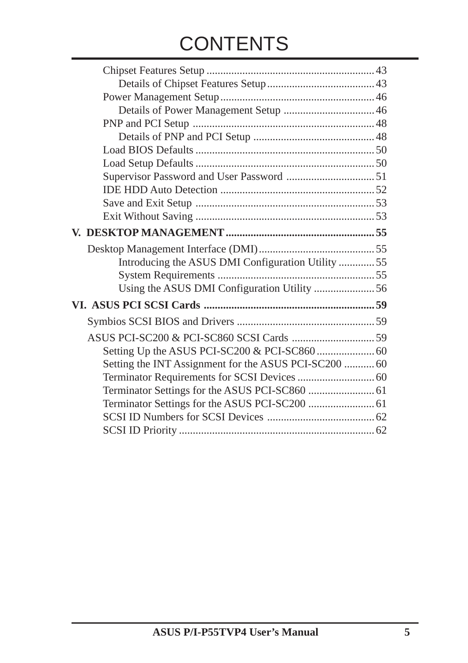# **CONTENTS**

| Introducing the ASUS DMI Configuration Utility 55     |  |
|-------------------------------------------------------|--|
|                                                       |  |
|                                                       |  |
|                                                       |  |
|                                                       |  |
|                                                       |  |
|                                                       |  |
| Setting the INT Assignment for the ASUS PCI-SC200  60 |  |
|                                                       |  |
|                                                       |  |
|                                                       |  |
|                                                       |  |
|                                                       |  |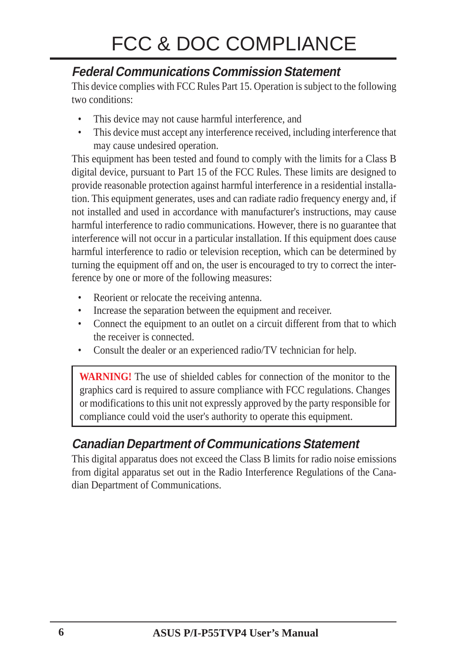### **Federal Communications Commission Statement**

This device complies with FCC Rules Part 15. Operation is subject to the following two conditions:

- This device may not cause harmful interference, and
- This device must accept any interference received, including interference that may cause undesired operation.

This equipment has been tested and found to comply with the limits for a Class B digital device, pursuant to Part 15 of the FCC Rules. These limits are designed to provide reasonable protection against harmful interference in a residential installation. This equipment generates, uses and can radiate radio frequency energy and, if not installed and used in accordance with manufacturer's instructions, may cause harmful interference to radio communications. However, there is no guarantee that interference will not occur in a particular installation. If this equipment does cause harmful interference to radio or television reception, which can be determined by turning the equipment off and on, the user is encouraged to try to correct the interference by one or more of the following measures:

- Reorient or relocate the receiving antenna.
- Increase the separation between the equipment and receiver.
- Connect the equipment to an outlet on a circuit different from that to which the receiver is connected.
- Consult the dealer or an experienced radio/TV technician for help.

**WARNING!** The use of shielded cables for connection of the monitor to the graphics card is required to assure compliance with FCC regulations. Changes or modifications to this unit not expressly approved by the party responsible for compliance could void the user's authority to operate this equipment.

### **Canadian Department of Communications Statement**

This digital apparatus does not exceed the Class B limits for radio noise emissions from digital apparatus set out in the Radio Interference Regulations of the Canadian Department of Communications.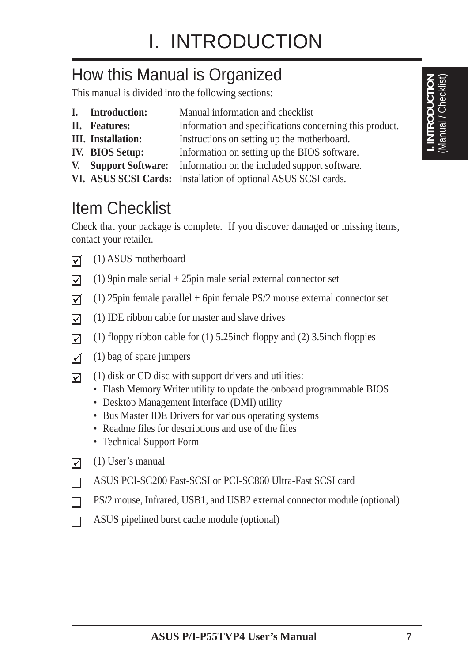## How this Manual is Organized

This manual is divided into the following sections:

- **I. Introduction:** Manual information and checklist
- **II. Features:** Information and specifications concerning this product.
- **III. Installation:** Instructions on setting up the motherboard.
- **IV. BIOS Setup:** Information on setting up the BIOS software.
- **V. Support Software:** Information on the included support software.
- **VI. ASUS SCSI Cards:** Installation of optional ASUS SCSI cards.

## Item Checklist

Check that your package is complete. If you discover damaged or missing items, contact your retailer.

- (1) ASUS motherboard ☑
- (1) 9pin male serial + 25pin male serial external connector set ल
- (1) 25pin female parallel + 6pin female PS/2 mouse external connector set ल
- (1) IDE ribbon cable for master and slave drives ज
- (1) floppy ribbon cable for (1) 5.25inch floppy and (2) 3.5inch floppies ल
- $\Box$  (1) bag of spare jumpers
- $\Box$  (1) disk or CD disc with support drivers and utilities:
	- Flash Memory Writer utility to update the onboard programmable BIOS
	- Desktop Management Interface (DMI) utility
	- Bus Master IDE Drivers for various operating systems
	- Readme files for descriptions and use of the files
	- Technical Support Form
- (1) User's manual न
- ASUS PCI-SC200 Fast-SCSI or PCI-SC860 Ultra-Fast SCSI card  $\Box$
- PS/2 mouse, Infrared, USB1, and USB2 external connector module (optional) П
- ASUS pipelined burst cache module (optional)  $\Box$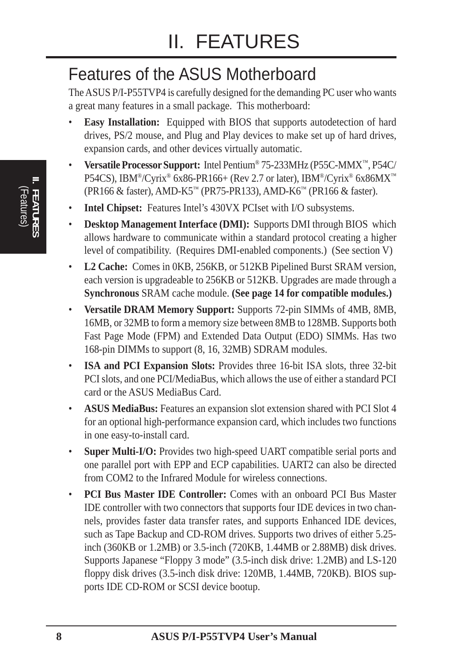## Features of the ASUS Motherboard

The ASUS P/I-P55TVP4 is carefully designed for the demanding PC user who wants a great many features in a small package. This motherboard:

- **Easy Installation:** Equipped with BIOS that supports autodetection of hard drives, PS/2 mouse, and Plug and Play devices to make set up of hard drives, expansion cards, and other devices virtually automatic.
- **Versatile Processor Support:** Intel Pentium® 75-233MHz (P55C-MMX™, P54C/ P54CS), IBM®/Cyrix® 6x86-PR166+ (Rev 2.7 or later), IBM®/Cyrix® 6x86MX™ (PR166 & faster), AMD-K5™ (PR75-PR133), AMD-K6™ (PR166 & faster).
- **Intel Chipset:** Features Intel's 430VX PCIset with I/O subsystems.
- **Desktop Management Interface (DMI):** Supports DMI through BIOS which allows hardware to communicate within a standard protocol creating a higher level of compatibility. (Requires DMI-enabled components.) (See section V)
- **L2 Cache:** Comes in 0KB, 256KB, or 512KB Pipelined Burst SRAM version, each version is upgradeable to 256KB or 512KB. Upgrades are made through a **Synchronous** SRAM cache module. **(See page 14 for compatible modules.)**
- **Versatile DRAM Memory Support:** Supports 72-pin SIMMs of 4MB, 8MB, 16MB, or 32MB to form a memory size between 8MB to 128MB. Supports both Fast Page Mode (FPM) and Extended Data Output (EDO) SIMMs. Has two 168-pin DIMMs to support (8, 16, 32MB) SDRAM modules.
- **ISA and PCI Expansion Slots:** Provides three 16-bit ISA slots, three 32-bit PCI slots, and one PCI/MediaBus, which allows the use of either a standard PCI card or the ASUS MediaBus Card.
- **ASUS MediaBus:** Features an expansion slot extension shared with PCI Slot 4 for an optional high-performance expansion card, which includes two functions in one easy-to-install card.
- **Super Multi-I/O:** Provides two high-speed UART compatible serial ports and one parallel port with EPP and ECP capabilities. UART2 can also be directed from COM2 to the Infrared Module for wireless connections.
- **PCI Bus Master IDE Controller:** Comes with an onboard PCI Bus Master IDE controller with two connectors that supports four IDE devices in two channels, provides faster data transfer rates, and supports Enhanced IDE devices, such as Tape Backup and CD-ROM drives. Supports two drives of either 5.25 inch (360KB or 1.2MB) or 3.5-inch (720KB, 1.44MB or 2.88MB) disk drives. Supports Japanese "Floppy 3 mode" (3.5-inch disk drive: 1.2MB) and LS-120 floppy disk drives (3.5-inch disk drive: 120MB, 1.44MB, 720KB). BIOS supports IDE CD-ROM or SCSI device bootup.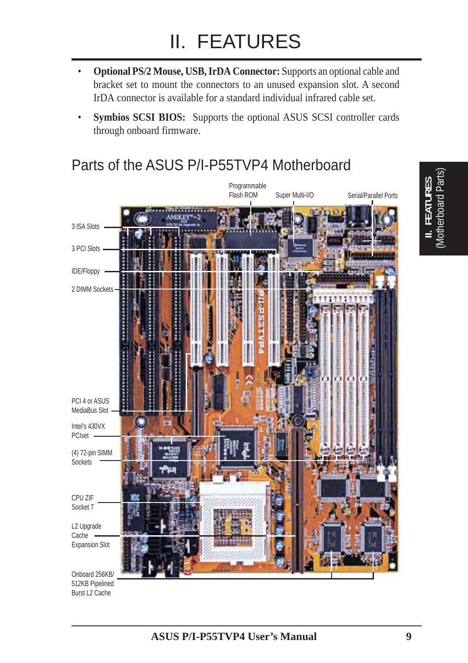- **Optional PS/2 Mouse, USB, IrDA Connector:** Supports an optional cable and bracket set to mount the connectors to an unused expansion slot. A second IrDA connector is available for a standard individual infrared cable set.
- **Symbios SCSI BIOS:** Supports the optional ASUS SCSI controller cards through onboard firmware.

## Parts of the ASUS P/I-P55TVP4 Motherboard Intel's 430VX PCIset . CPU ZIF Socket 7 (4) 72-pin SIMM **Sockets** L2 Upgrade Cache 2 DIMM Sockets 3 PCI Slots 3 ISA Slots Programmable<br>Flash ROM Super Multi-I/O PCI 4 or ASUS MediaBus Slot Serial/Parallel Ports IDE/Floppy

Onboard 256KB/ 512KB Pipelined Burst L2 Cache

Expansion Slot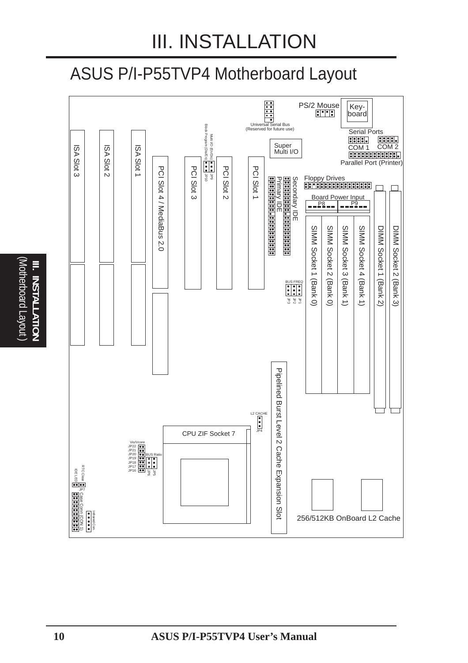# III. INSTALLATION

## ASUS P/I-P55TVP4 Motherboard Layout



(Motherboard Layout ) **III. INSTALLATION**

(Motherboard Layout) **I. INSTALLATION**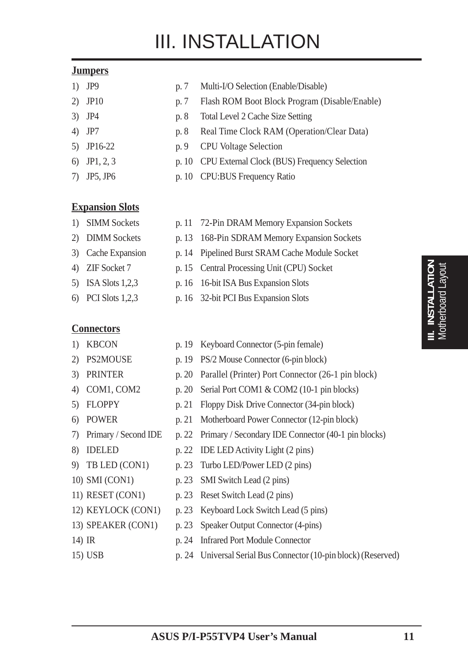# III. INSTALLATION

#### **Jumpers**

- 
- 
- 
- 
- 
- 

#### **Expansion Slots**

- 
- 
- 
- 
- 
- 

#### **Connectors**

- 
- 
- 
- 
- 
- 
- 
- 
- 
- 
- 
- 
- 
- 
- 
- 1) JP9 p. 7 Multi-I/O Selection (Enable/Disable)
- 2) JP10 p. 7 Flash ROM Boot Block Program (Disable/Enable)
- 3) JP4 p. 8 Total Level 2 Cache Size Setting
- 4) JP7 p. 8 Real Time Clock RAM (Operation/Clear Data)
- 5) JP16-22 p. 9 CPU Voltage Selection
- 6) JP1, 2, 3 p. 10 CPU External Clock (BUS) Frequency Selection
- 7) JP5, JP6 p. 10 CPU:BUS Frequency Ratio
- 1) SIMM Sockets p. 11 72-Pin DRAM Memory Expansion Sockets
- 2) DIMM Sockets p. 13 168-Pin SDRAM Memory Expansion Sockets
- 3) Cache Expansion p. 14 Pipelined Burst SRAM Cache Module Socket
- 4) ZIF Socket 7 p. 15 Central Processing Unit (CPU) Socket
- 5) ISA Slots 1,2,3 p. 16 16-bit ISA Bus Expansion Slots
- 6) PCI Slots 1,2,3 p. 16 32-bit PCI Bus Expansion Slots
- 1) KBCON p. 19 Keyboard Connector (5-pin female)
- 2) PS2MOUSE p. 19 PS/2 Mouse Connector (6-pin block)
- 3) PRINTER p. 20 Parallel (Printer) Port Connector (26-1 pin block)
- 4) COM1, COM2 p. 20 Serial Port COM1 & COM2 (10-1 pin blocks)
- 5) FLOPPY p. 21 Floppy Disk Drive Connector (34-pin block)
- 6) POWER p. 21 Motherboard Power Connector (12-pin block)
- 7) Primary / Second IDE p. 22 Primary / Secondary IDE Connector (40-1 pin blocks)
- 8) IDELED p. 22 IDE LED Activity Light (2 pins)
- 9) TB LED (CON1) p. 23 Turbo LED/Power LED (2 pins)
- 10) SMI (CON1) p. 23 SMI Switch Lead (2 pins)
- 11) RESET (CON1) p. 23 Reset Switch Lead (2 pins)
- 12) KEYLOCK (CON1) p. 23 Keyboard Lock Switch Lead (5 pins)
- 13) SPEAKER (CON1) p. 23 Speaker Output Connector (4-pins)
- 14) IR p. 24 Infrared Port Module Connector
- 15) USB p. 24 Universal Serial Bus Connector (10-pin block) (Reserved)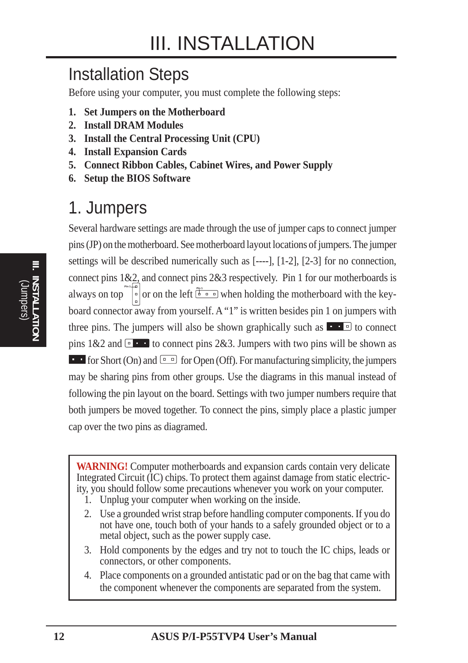## Installation Steps

Before using your computer, you must complete the following steps:

- **1. Set Jumpers on the Motherboard**
- **2. Install DRAM Modules**
- **3. Install the Central Processing Unit (CPU)**
- **4. Install Expansion Cards**
- **5. Connect Ribbon Cables, Cabinet Wires, and Power Supply**
- **6. Setup the BIOS Software**

## 1. Jumpers

Several hardware settings are made through the use of jumper caps to connect jumper pins (JP) on the motherboard. See motherboard layout locations of jumpers. The jumper settings will be described numerically such as [----], [1-2], [2-3] for no connection, connect pins 1&2, and connect pins 2&3 respectively. Pin 1 for our motherboards is always on top  $\int_{0}^{\frac{p_{n+1}-n}{n}}$  or on the left  $\int_{0}^{\frac{p_{n+1}-n}{n}}$  when holding the motherboard with the keyboard connector away from yourself. A "1" is written besides pin 1 on jumpers with three pins. The jumpers will also be shown graphically such as  $\bullet \bullet$  to connect pins  $1&2$  and  $\boxed{2}$  to connect pins  $2&3$ . Jumpers with two pins will be shown as **for Short (On) and**  $\boxed{\blacksquare}$  for Open (Off). For manufacturing simplicity, the jumpers may be sharing pins from other groups. Use the diagrams in this manual instead of following the pin layout on the board. Settings with two jumper numbers require that both jumpers be moved together. To connect the pins, simply place a plastic jumper cap over the two pins as diagramed.

**WARNING!** Computer motherboards and expansion cards contain very delicate Integrated Circuit (IC) chips. To protect them against damage from static electricity, you should follow some precautions whenever you work on your computer.

- 1. Unplug your computer when working on the inside.
- 2. Use a grounded wrist strap before handling computer components. If you do not have one, touch both of your hands to a safely grounded object or to a metal object, such as the power supply case.
- 3. Hold components by the edges and try not to touch the IC chips, leads or connectors, or other components.
- 4. Place components on a grounded antistatic pad or on the bag that came with the component whenever the components are separated from the system.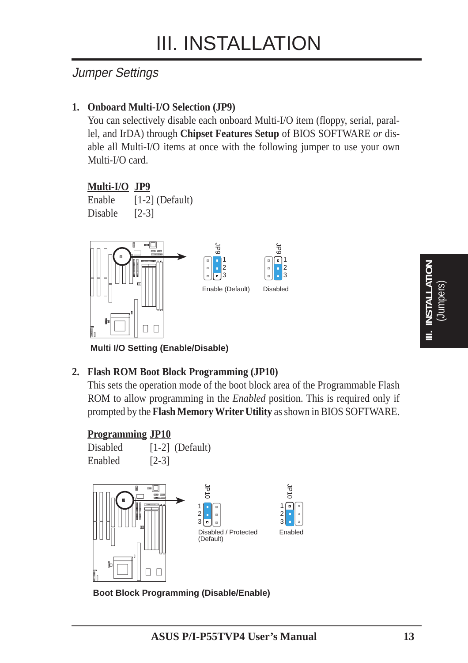### Jumper Settings

#### **1. Onboard Multi-I/O Selection (JP9)**

You can selectively disable each onboard Multi-I/O item (floppy, serial, parallel, and IrDA) through **Chipset Features Setup** of BIOS SOFTWARE *or* disable all Multi-I/O items at once with the following jumper to use your own Multi-I/O card.

#### **Multi-I/O JP9**

Enable [1-2] (Default) Disable [2-3]



**Multi I/O Setting (Enable/Disable)**

#### **2. Flash ROM Boot Block Programming (JP10)**

This sets the operation mode of the boot block area of the Programmable Flash ROM to allow programming in the *Enabled* position. This is required only if prompted by the **Flash Memory Writer Utility** as shown in BIOS SOFTWARE.

#### **Programming JP10**





**Boot Block Programming (Disable/Enable)**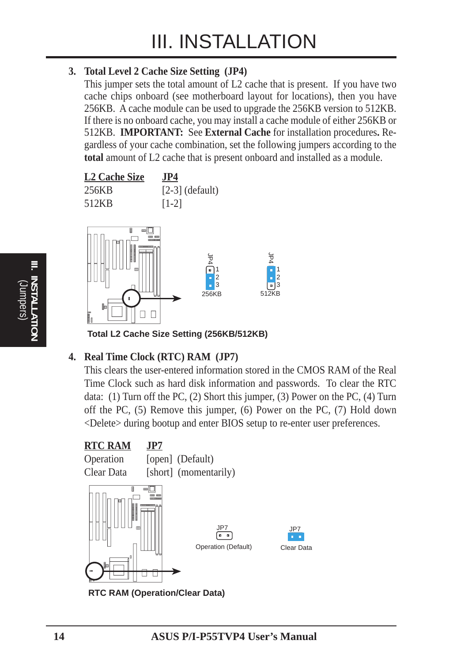#### **3. Total Level 2 Cache Size Setting (JP4)**

This jumper sets the total amount of L2 cache that is present. If you have two cache chips onboard (see motherboard layout for locations), then you have 256KB. A cache module can be used to upgrade the 256KB version to 512KB. If there is no onboard cache, you may install a cache module of either 256KB or 512KB. **IMPORTANT:** See **External Cache** for installation procedures**.** Regardless of your cache combination, set the following jumpers according to the **total** amount of L2 cache that is present onboard and installed as a module.

**L2 Cache Size JP4** 256KB [2-3] (default) 512KB [1-2]



**Total L2 Cache Size Setting (256KB/512KB)**

#### **4. Real Time Clock (RTC) RAM (JP7)**

This clears the user-entered information stored in the CMOS RAM of the Real Time Clock such as hard disk information and passwords. To clear the RTC data: (1) Turn off the PC, (2) Short this jumper, (3) Power on the PC, (4) Turn off the PC, (5) Remove this jumper, (6) Power on the PC, (7) Hold down <Delete> during bootup and enter BIOS setup to re-enter user preferences.



**RTC RAM (Operation/Clear Data)**

(Jumpers) **III. INSTALLATION**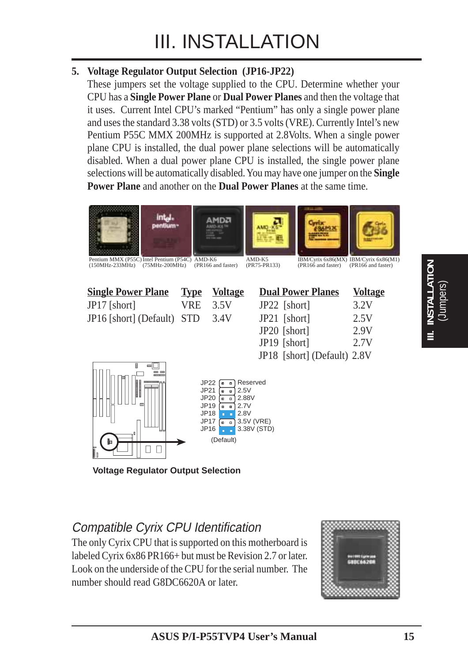#### **5. Voltage Regulator Output Selection (JP16-JP22)**

These jumpers set the voltage supplied to the CPU. Determine whether your CPU has a **Single Power Plane** or **Dual Power Planes** and then the voltage that it uses. Current Intel CPU's marked "Pentium" has only a single power plane and uses the standard 3.38 volts (STD) or 3.5 volts (VRE). Currently Intel's new Pentium P55C MMX 200MHz is supported at 2.8Volts. When a single power plane CPU is installed, the dual power plane selections will be automatically disabled. When a dual power plane CPU is installed, the single power plane selections will be automatically disabled. You may have one jumper on the **Single Power Plane** and another on the **Dual Power Planes** at the same time.



**Voltage Regulator Output Selection**

 $\Box$  $\Box$ 

### Compatible Cyrix CPU Identification

The only Cyrix CPU that is supported on this motherboard is labeled Cyrix 6x86 PR166+ but must be Revision 2.7 or later. Look on the underside of the CPU for the serial number. The number should read G8DC6620A or later.



(Jumpers) **III. INSTALLATION**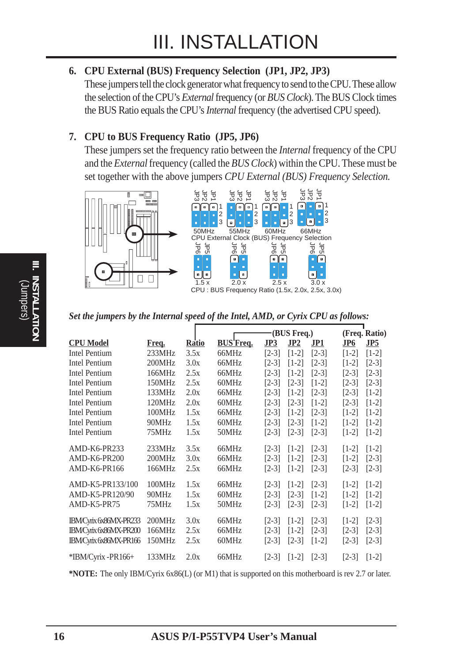#### **6. CPU External (BUS) Frequency Selection (JP1, JP2, JP3)**

These jumpers tell the clock generator what frequency to send to the CPU. These allow the selection of the CPU's *External* frequency (or *BUS Clock*). The BUS Clock times the BUS Ratio equals the CPU's *Internal* frequency (the advertised CPU speed).

#### **7. CPU to BUS Frequency Ratio (JP5, JP6)**

These jumpers set the frequency ratio between the *Internal* frequency of the CPU and the *External* frequency (called the *BUS Clock*) within the CPU. These must be set together with the above jumpers *CPU External (BUS) Frequency Selection.*



#### *Set the jumpers by the Internal speed of the Intel, AMD, or Cyrix CPU as follows:*

|                        |        |              |                  | -(BUS Freq.) |         |         |            | (Freq. Ratio) |
|------------------------|--------|--------------|------------------|--------------|---------|---------|------------|---------------|
| <b>CPU Model</b>       | Freq.  | <b>Ratio</b> | <b>BUS'Freq.</b> | JP3<br>JP2   |         | JP1     | <u>JP6</u> | JP5           |
| <b>Intel Pentium</b>   | 233MHz | 3.5x         | 66MHz            | $[2-3]$      | $[1-2]$ | $[2-3]$ | $[1-2]$    | $[1-2]$       |
| <b>Intel Pentium</b>   | 200MHz | 3.0x         | 66MHz            | $[2-3]$      | $[1-2]$ | $[2-3]$ | $[1-2]$    | $[2-3]$       |
| <b>Intel Pentium</b>   | 166MHz | 2.5x         | 66MHz            | $[2-3]$      | $[1-2]$ | $[2-3]$ | $[2-3]$    | $[2-3]$       |
| <b>Intel Pentium</b>   | 150MHz | 2.5x         | 60MHz            | $[2-3]$      | $[2-3]$ | $[1-2]$ | $[2-3]$    | $[2-3]$       |
| <b>Intel Pentium</b>   | 133MHz | 2.0x         | 66MHz            | $[2-3]$      | $[1-2]$ | $[2-3]$ | $[2-3]$    | $[1-2]$       |
| <b>Intel Pentium</b>   | 120MHz | 2.0x         | 60MHz            | $[2-3]$      | $[2-3]$ | $[1-2]$ | $[2-3]$    | $[1-2]$       |
| Intel Pentium          | 100MHz | 1.5x         | 66MHz            | $[2-3]$      | $[1-2]$ | $[2-3]$ | $[1-2]$    | $[1-2]$       |
| Intel Pentium          | 90MHz  | 1.5x         | 60MHz            | $[2-3]$      | $[2-3]$ | $[1-2]$ | $[1-2]$    | $[1-2]$       |
| <b>Intel Pentium</b>   | 75MHz  | 1.5x         | 50MHz            | $[2-3]$      | $[2-3]$ | $[2-3]$ | $[1-2]$    | $[1-2]$       |
| AMD-K6-PR233           | 233MHz | 3.5x         | 66MHz            | $[2-3]$      | $[1-2]$ | $[2-3]$ | $[1-2]$    | $[1-2]$       |
| AMD-K6-PR200           | 200MHz | 3.0x         | 66MHz            | $[2-3]$      | $[1-2]$ | $[2-3]$ | $[1-2]$    | $[2-3]$       |
| AMD-K6-PR166           | 166MHz | 2.5x         | 66MHz            | $[2-3]$      | $[1-2]$ | $[2-3]$ | $[2-3]$    | $[2-3]$       |
| AMD-K5-PR133/100       | 100MHz | 1.5x         | 66MHz            | $[2-3]$      | $[1-2]$ | $[2-3]$ | $[1-2]$    | $[1-2]$       |
| AMD-K5-PR120/90        | 90MHz  | 1.5x         | 60MHz            | $[2-3]$      | $[2-3]$ | $[1-2]$ | $[1-2]$    | $[1-2]$       |
| AMD-K5-PR75            | 75MHz  | 1.5x         | 50MHz            | $[2-3]$      | $[2-3]$ | $[2-3]$ | $[1-2]$    | $[1-2]$       |
| IBM/Cyrix 6x86MX-PR233 | 200MHz | 3.0x         | 66MHz            | $[2-3]$      | $[1-2]$ | $[2-3]$ | $[1-2]$    | $[2-3]$       |
| IBM/Cyrix 6x86MX-PR200 | 166MHz | 2.5x         | 66MHz            | $[2-3]$      | $[1-2]$ | $[2-3]$ | $[2-3]$    | $[2-3]$       |
| IBM/Cyrix 6x86MX-PR166 | 150MHz | 2.5x         | 60MHz            | $[2-3]$      | $[2-3]$ | $[1-2]$ | $[2-3]$    | $[2-3]$       |
| *IBM/Cyrix -PR166+     | 133MHz | 2.0x         | 66MHz            | $[2-3]$      | $[1-2]$ | $[2-3]$ | $[2-3]$    | $[1-2]$       |
|                        |        |              |                  |              |         |         |            |               |

**\*NOTE:** The only IBM/Cyrix 6x86(L) (or M1) that is supported on this motherboard is rev 2.7 or later.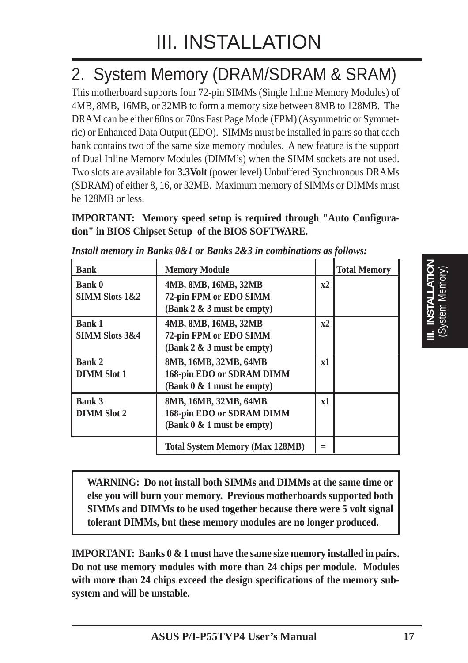## 2. System Memory (DRAM/SDRAM & SRAM)

This motherboard supports four 72-pin SIMMs (Single Inline Memory Modules) of 4MB, 8MB, 16MB, or 32MB to form a memory size between 8MB to 128MB. The DRAM can be either 60ns or 70ns Fast Page Mode (FPM) (Asymmetric or Symmetric) or Enhanced Data Output (EDO). SIMMs must be installed in pairs so that each bank contains two of the same size memory modules. A new feature is the support of Dual Inline Memory Modules (DIMM's) when the SIMM sockets are not used. Two slots are available for **3.3Volt** (power level) Unbuffered Synchronous DRAMs (SDRAM) of either 8, 16, or 32MB. Maximum memory of SIMMs or DIMMs must be 128MB or less.

**IMPORTANT: Memory speed setup is required through "Auto Configuration" in BIOS Chipset Setup of the BIOS SOFTWARE.**

| <b>Bank</b>                                | <b>Memory Module</b>                                                                |                | <b>Total Memory</b> |
|--------------------------------------------|-------------------------------------------------------------------------------------|----------------|---------------------|
| <b>Bank 0</b><br><b>SIMM Slots 1&amp;2</b> | 4MB, 8MB, 16MB, 32MB<br>72-pin FPM or EDO SIMM<br>(Bank 2 & 3 must be empty)        | x2             |                     |
| <b>Bank 1</b><br><b>SIMM Slots 3&amp;4</b> | 4MB, 8MB, 16MB, 32MB<br>72-pin FPM or EDO SIMM<br>(Bank 2 $\&$ 3 must be empty)     | x2             |                     |
| <b>Bank 2</b><br><b>DIMM Slot 1</b>        | 8MB, 16MB, 32MB, 64MB<br>168-pin EDO or SDRAM DIMM<br>(Bank $0 \& 1$ must be empty) | x1             |                     |
| <b>Bank 3</b><br><b>DIMM Slot 2</b>        | 8MB, 16MB, 32MB, 64MB<br>168-pin EDO or SDRAM DIMM<br>(Bank $0 \& 1$ must be empty) | $\mathbf{x}$ 1 |                     |
|                                            | <b>Total System Memory (Max 128MB)</b>                                              |                |                     |

*Install memory in Banks 0&1 or Banks 2&3 in combinations as follows:*

**WARNING: Do not install both SIMMs and DIMMs at the same time or else you will burn your memory. Previous motherboards supported both SIMMs and DIMMs to be used together because there were 5 volt signal tolerant DIMMs, but these memory modules are no longer produced.**

**IMPORTANT: Banks 0 & 1 must have the same size memory installed in pairs. Do not use memory modules with more than 24 chips per module. Modules with more than 24 chips exceed the design specifications of the memory subsystem and will be unstable.**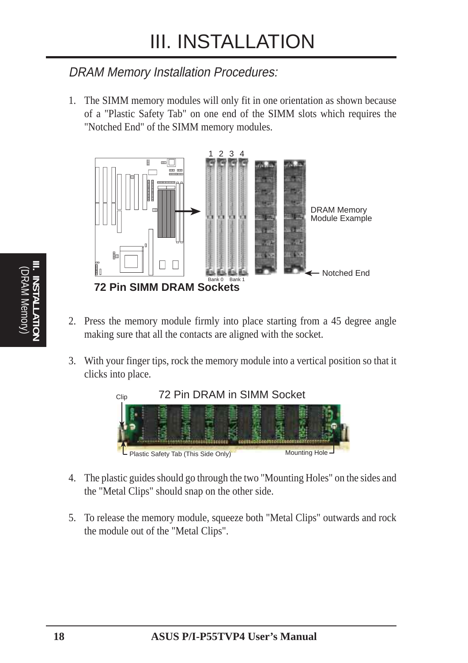### DRAM Memory Installation Procedures:

1. The SIMM memory modules will only fit in one orientation as shown because of a "Plastic Safety Tab" on one end of the SIMM slots which requires the "Notched End" of the SIMM memory modules.



2. Press the memory module firmly into place starting from a 45 degree angle making sure that all the contacts are aligned with the socket.

3. With your finger tips, rock the memory module into a vertical position so that it clicks into place.



- 4. The plastic guides should go through the two "Mounting Holes" on the sides and the "Metal Clips" should snap on the other side.
- 5. To release the memory module, squeeze both "Metal Clips" outwards and rock the module out of the "Metal Clips".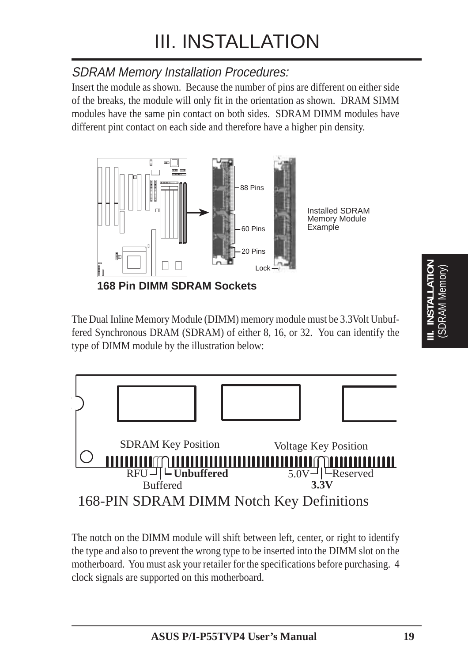### SDRAM Memory Installation Procedures:

Insert the module as shown. Because the number of pins are different on either side of the breaks, the module will only fit in the orientation as shown. DRAM SIMM modules have the same pin contact on both sides. SDRAM DIMM modules have different pint contact on each side and therefore have a higher pin density.



The Dual Inline Memory Module (DIMM) memory module must be 3.3Volt Unbuffered Synchronous DRAM (SDRAM) of either 8, 16, or 32. You can identify the type of DIMM module by the illustration below:



The notch on the DIMM module will shift between left, center, or right to identify the type and also to prevent the wrong type to be inserted into the DIMM slot on the motherboard. You must ask your retailer for the specifications before purchasing. 4 clock signals are supported on this motherboard.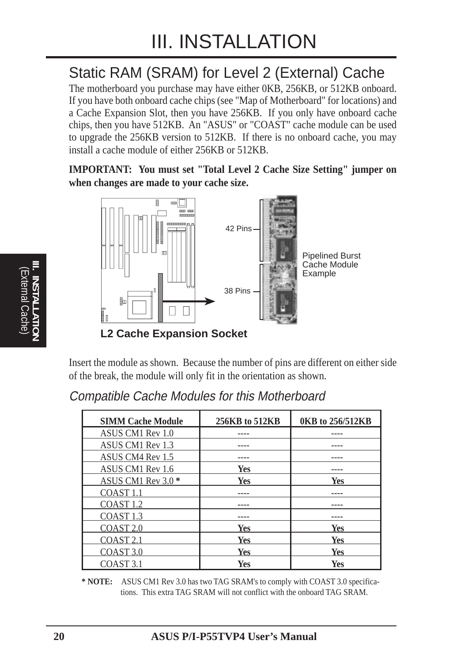### Static RAM (SRAM) for Level 2 (External) Cache

The motherboard you purchase may have either 0KB, 256KB, or 512KB onboard. If you have both onboard cache chips (see "Map of Motherboard" for locations) and a Cache Expansion Slot, then you have 256KB. If you only have onboard cache chips, then you have 512KB. An "ASUS" or "COAST" cache module can be used to upgrade the 256KB version to 512KB. If there is no onboard cache, you may install a cache module of either 256KB or 512KB.

**IMPORTANT: You must set "Total Level 2 Cache Size Setting" jumper on when changes are made to your cache size.**



Insert the module as shown. Because the number of pins are different on either side of the break, the module will only fit in the orientation as shown.

| <b>SIMM Cache Module</b> | 256KB to 512KB | 0KB to 256/512KB |
|--------------------------|----------------|------------------|
| ASUS CM1 Rev 1.0         |                |                  |
| ASUS CM1 Rev 1.3         |                |                  |
| ASUS CM4 Rev 1.5         | ----           | ----             |
| ASUS CM1 Rev 1.6         | <b>Yes</b>     |                  |
| ASUS CM1 Rev $3.0*$      | Yes            | Yes              |
| COAST <sub>1.1</sub>     |                |                  |
| COAST <sub>1.2</sub>     |                |                  |
| COAST <sub>1.3</sub>     | ----           | ----             |
| COAST <sub>2.0</sub>     | <b>Yes</b>     | <b>Yes</b>       |
| COAST <sub>2.1</sub>     | <b>Yes</b>     | <b>Yes</b>       |
| COAST <sub>3.0</sub>     | <b>Yes</b>     | <b>Yes</b>       |
| COAST <sub>3.1</sub>     | <b>Yes</b>     | Yes              |

**<sup>\*</sup> NOTE:** ASUS CM1 Rev 3.0 has two TAG SRAM's to comply with COAST 3.0 specifications. This extra TAG SRAM will not conflict with the onboard TAG SRAM.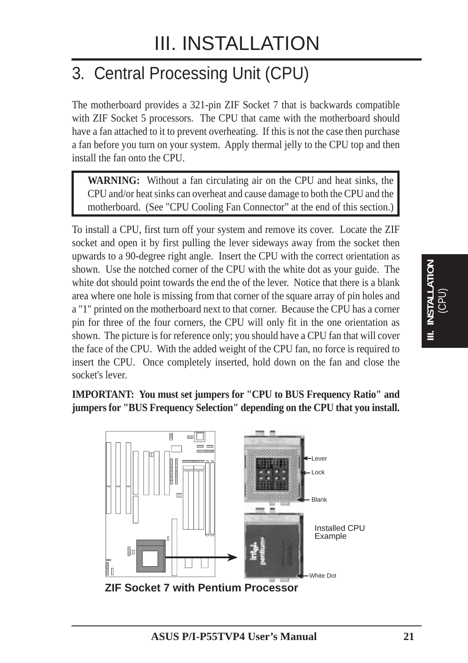## 3. Central Processing Unit (CPU)

The motherboard provides a 321-pin ZIF Socket 7 that is backwards compatible with ZIF Socket 5 processors. The CPU that came with the motherboard should have a fan attached to it to prevent overheating. If this is not the case then purchase a fan before you turn on your system. Apply thermal jelly to the CPU top and then install the fan onto the CPU.

**WARNING:** Without a fan circulating air on the CPU and heat sinks, the CPU and/or heat sinks can overheat and cause damage to both the CPU and the motherboard. (See "CPU Cooling Fan Connector" at the end of this section.)

To install a CPU, first turn off your system and remove its cover. Locate the ZIF socket and open it by first pulling the lever sideways away from the socket then upwards to a 90-degree right angle. Insert the CPU with the correct orientation as shown. Use the notched corner of the CPU with the white dot as your guide. The white dot should point towards the end the of the lever. Notice that there is a blank area where one hole is missing from that corner of the square array of pin holes and a "1" printed on the motherboard next to that corner. Because the CPU has a corner pin for three of the four corners, the CPU will only fit in the one orientation as shown. The picture is for reference only; you should have a CPU fan that will cover the face of the CPU. With the added weight of the CPU fan, no force is required to insert the CPU. Once completely inserted, hold down on the fan and close the socket's lever.

#### **IMPORTANT: You must set jumpers for "CPU to BUS Frequency Ratio" and jumpers for "BUS Frequency Selection" depending on the CPU that you install.**



**ZIF Socket 7 with Pentium Processor**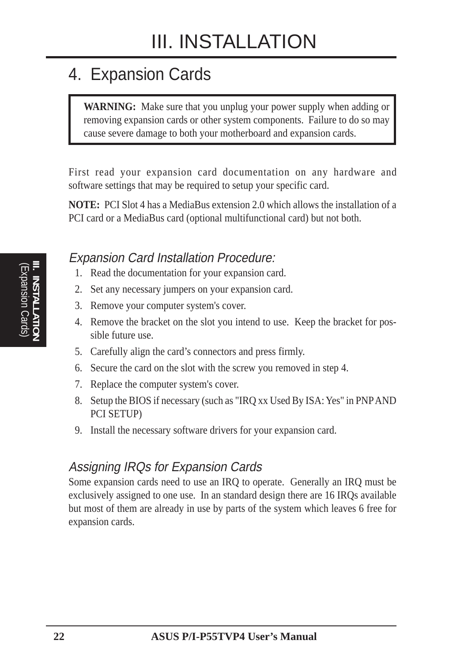## 4. Expansion Cards

**WARNING:** Make sure that you unplug your power supply when adding or removing expansion cards or other system components. Failure to do so may cause severe damage to both your motherboard and expansion cards.

First read your expansion card documentation on any hardware and software settings that may be required to setup your specific card.

**NOTE:** PCI Slot 4 has a MediaBus extension 2.0 which allows the installation of a PCI card or a MediaBus card (optional multifunctional card) but not both.

### Expansion Card Installation Procedure:

- 1. Read the documentation for your expansion card.
- 2. Set any necessary jumpers on your expansion card.
- 3. Remove your computer system's cover.
- 4. Remove the bracket on the slot you intend to use. Keep the bracket for possible future use.
- 5. Carefully align the card's connectors and press firmly.
- 6. Secure the card on the slot with the screw you removed in step 4.
- 7. Replace the computer system's cover.
- 8. Setup the BIOS if necessary (such as "IRQ xx Used By ISA: Yes" in PNP AND PCI SETUP)
- 9. Install the necessary software drivers for your expansion card.

#### Assigning IRQs for Expansion Cards

Some expansion cards need to use an IRQ to operate. Generally an IRQ must be exclusively assigned to one use. In an standard design there are 16 IRQs available but most of them are already in use by parts of the system which leaves 6 free for expansion cards.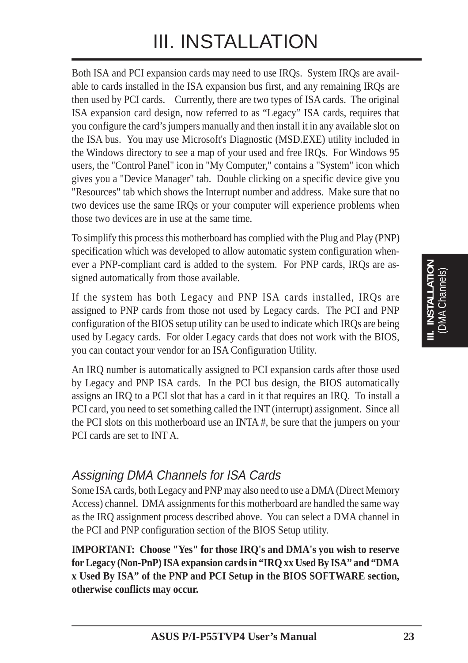# III. INSTALLATION

Both ISA and PCI expansion cards may need to use IRQs. System IRQs are available to cards installed in the ISA expansion bus first, and any remaining IRQs are then used by PCI cards. Currently, there are two types of ISA cards. The original ISA expansion card design, now referred to as "Legacy" ISA cards, requires that you configure the card's jumpers manually and then install it in any available slot on the ISA bus. You may use Microsoft's Diagnostic (MSD.EXE) utility included in the Windows directory to see a map of your used and free IRQs. For Windows 95 users, the "Control Panel" icon in "My Computer," contains a "System" icon which gives you a "Device Manager" tab. Double clicking on a specific device give you "Resources" tab which shows the Interrupt number and address. Make sure that no two devices use the same IRQs or your computer will experience problems when those two devices are in use at the same time.

To simplify this process this motherboard has complied with the Plug and Play (PNP) specification which was developed to allow automatic system configuration whenever a PNP-compliant card is added to the system. For PNP cards, IRQs are assigned automatically from those available.

If the system has both Legacy and PNP ISA cards installed, IRQs are assigned to PNP cards from those not used by Legacy cards. The PCI and PNP configuration of the BIOS setup utility can be used to indicate which IRQs are being used by Legacy cards. For older Legacy cards that does not work with the BIOS, you can contact your vendor for an ISA Configuration Utility.

An IRQ number is automatically assigned to PCI expansion cards after those used by Legacy and PNP ISA cards. In the PCI bus design, the BIOS automatically assigns an IRQ to a PCI slot that has a card in it that requires an IRQ. To install a PCI card, you need to set something called the INT (interrupt) assignment. Since all the PCI slots on this motherboard use an INTA #, be sure that the jumpers on your PCI cards are set to INT A.

### Assigning DMA Channels for ISA Cards

Some ISA cards, both Legacy and PNP may also need to use a DMA (Direct Memory Access) channel. DMA assignments for this motherboard are handled the same way as the IRQ assignment process described above. You can select a DMA channel in the PCI and PNP configuration section of the BIOS Setup utility.

**IMPORTANT: Choose "Yes" for those IRQ's and DMA's you wish to reserve for Legacy (Non-PnP) ISA expansion cards in "IRQ xx Used By ISA" and "DMA x Used By ISA" of the PNP and PCI Setup in the BIOS SOFTWARE section, otherwise conflicts may occur.**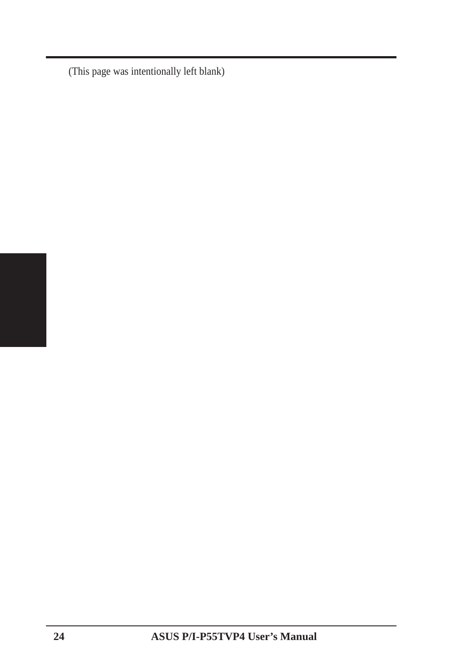(This page was intentionally left blank)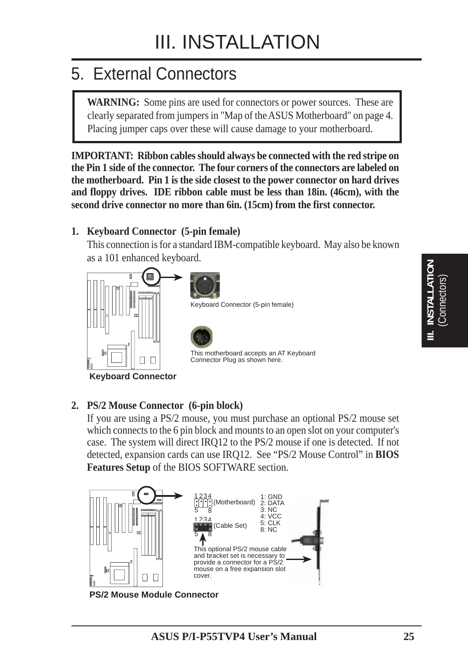## 5. External Connectors

**WARNING:** Some pins are used for connectors or power sources. These are clearly separated from jumpers in "Map of the ASUS Motherboard" on page 4. Placing jumper caps over these will cause damage to your motherboard.

**IMPORTANT: Ribbon cables should always be connected with the red stripe on the Pin 1 side of the connector. The four corners of the connectors are labeled on the motherboard. Pin 1 is the side closest to the power connector on hard drives and floppy drives. IDE ribbon cable must be less than 18in. (46cm), with the second drive connector no more than 6in. (15cm) from the first connector.**

#### **1. Keyboard Connector (5-pin female)**

This connection is for a standard IBM-compatible keyboard. May also be known as a 101 enhanced keyboard.



#### **2. PS/2 Mouse Connector (6-pin block)**

If you are using a PS/2 mouse, you must purchase an optional PS/2 mouse set which connects to the 6 pin block and mounts to an open slot on your computer's case. The system will direct IRQ12 to the PS/2 mouse if one is detected. If not detected, expansion cards can use IRQ12. See "PS/2 Mouse Control" in **BIOS Features Setup** of the BIOS SOFTWARE section.



**PS/2 Mouse Module Connector**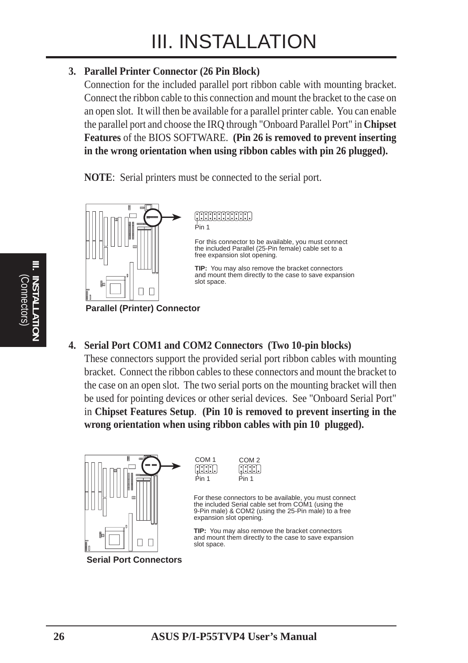#### **3. Parallel Printer Connector (26 Pin Block)**

Connection for the included parallel port ribbon cable with mounting bracket. Connect the ribbon cable to this connection and mount the bracket to the case on an open slot. It will then be available for a parallel printer cable. You can enable the parallel port and choose the IRQ through "Onboard Parallel Port" in **Chipset Features** of the BIOS SOFTWARE. **(Pin 26 is removed to prevent inserting in the wrong orientation when using ribbon cables with pin 26 plugged).**

**NOTE**: Serial printers must be connected to the serial port.



**Question Construction** Pin 1

For this connector to be available, you must connect the included Parallel (25-Pin female) cable set to a free expansion slot opening.

**TIP:** You may also remove the bracket connectors and mount them directly to the case to save expansion slot space.

**Parallel (Printer) Connector**

#### **4. Serial Port COM1 and COM2 Connectors (Two 10-pin blocks)**

These connectors support the provided serial port ribbon cables with mounting bracket. Connect the ribbon cables to these connectors and mount the bracket to the case on an open slot. The two serial ports on the mounting bracket will then be used for pointing devices or other serial devices. See "Onboard Serial Port" in **Chipset Features Setup**. **(Pin 10 is removed to prevent inserting in the wrong orientation when using ribbon cables with pin 10 plugged).**





For these connectors to be available, you must connect the included Serial cable set from COM1 (using the 9-Pin male) & COM2 (using the 25-Pin male) to a free expansion slot opening.

**TIP:** You may also remove the bracket connectors and mount them directly to the case to save expansion slot space.

**Serial Port Connectors**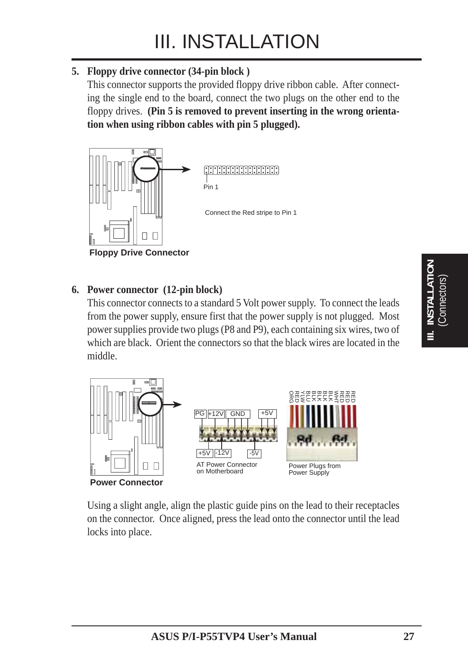#### **5. Floppy drive connector (34-pin block )**

This connector supports the provided floppy drive ribbon cable. After connecting the single end to the board, connect the two plugs on the other end to the floppy drives. **(Pin 5 is removed to prevent inserting in the wrong orientation when using ribbon cables with pin 5 plugged).**



#### **6. Power connector (12-pin block)**

This connector connects to a standard 5 Volt power supply. To connect the leads from the power supply, ensure first that the power supply is not plugged. Most power supplies provide two plugs (P8 and P9), each containing six wires, two of which are black. Orient the connectors so that the black wires are located in the middle.



Using a slight angle, align the plastic guide pins on the lead to their receptacles on the connector. Once aligned, press the lead onto the connector until the lead locks into place.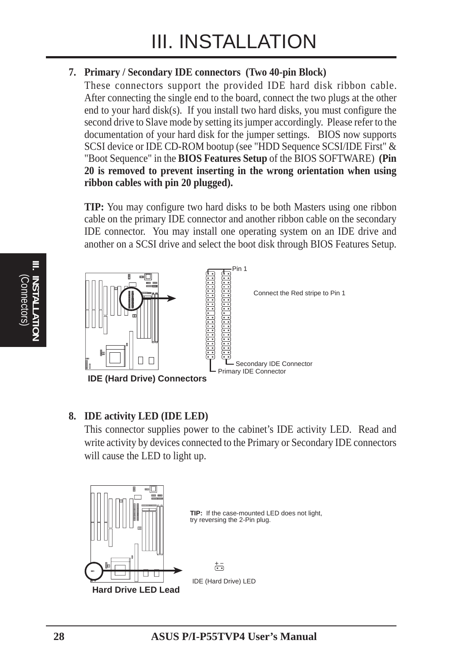#### **7. Primary / Secondary IDE connectors (Two 40-pin Block)**

These connectors support the provided IDE hard disk ribbon cable. After connecting the single end to the board, connect the two plugs at the other end to your hard disk(s). If you install two hard disks, you must configure the second drive to Slave mode by setting its jumper accordingly. Please refer to the documentation of your hard disk for the jumper settings. BIOS now supports SCSI device or IDE CD-ROM bootup (see "HDD Sequence SCSI/IDE First" & "Boot Sequence" in the **BIOS Features Setup** of the BIOS SOFTWARE) **(Pin 20 is removed to prevent inserting in the wrong orientation when using ribbon cables with pin 20 plugged).**

**TIP:** You may configure two hard disks to be both Masters using one ribbon cable on the primary IDE connector and another ribbon cable on the secondary IDE connector. You may install one operating system on an IDE drive and another on a SCSI drive and select the boot disk through BIOS Features Setup.



#### **8. IDE activity LED (IDE LED)**

This connector supplies power to the cabinet's IDE activity LED. Read and write activity by devices connected to the Primary or Secondary IDE connectors will cause the LED to light up.

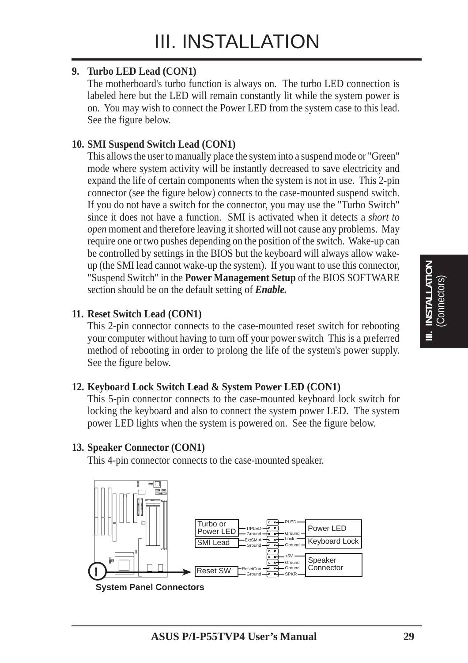#### **9. Turbo LED Lead (CON1)**

The motherboard's turbo function is always on. The turbo LED connection is labeled here but the LED will remain constantly lit while the system power is on. You may wish to connect the Power LED from the system case to this lead. See the figure below.

#### **10. SMI Suspend Switch Lead (CON1)**

This allows the user to manually place the system into a suspend mode or "Green" mode where system activity will be instantly decreased to save electricity and expand the life of certain components when the system is not in use. This 2-pin connector (see the figure below) connects to the case-mounted suspend switch. If you do not have a switch for the connector, you may use the "Turbo Switch" since it does not have a function. SMI is activated when it detects a *short to open* moment and therefore leaving it shorted will not cause any problems. May require one or two pushes depending on the position of the switch. Wake-up can be controlled by settings in the BIOS but the keyboard will always allow wakeup (the SMI lead cannot wake-up the system). If you want to use this connector, "Suspend Switch" in the **Power Management Setup** of the BIOS SOFTWARE section should be on the default setting of *Enable.*

#### **11. Reset Switch Lead (CON1)**

This 2-pin connector connects to the case-mounted reset switch for rebooting your computer without having to turn off your power switch This is a preferred method of rebooting in order to prolong the life of the system's power supply. See the figure below.

#### **12. Keyboard Lock Switch Lead & System Power LED (CON1)**

This 5-pin connector connects to the case-mounted keyboard lock switch for locking the keyboard and also to connect the system power LED. The system power LED lights when the system is powered on. See the figure below.

#### **13. Speaker Connector (CON1)**

This 4-pin connector connects to the case-mounted speaker.



**System Panel Connectors**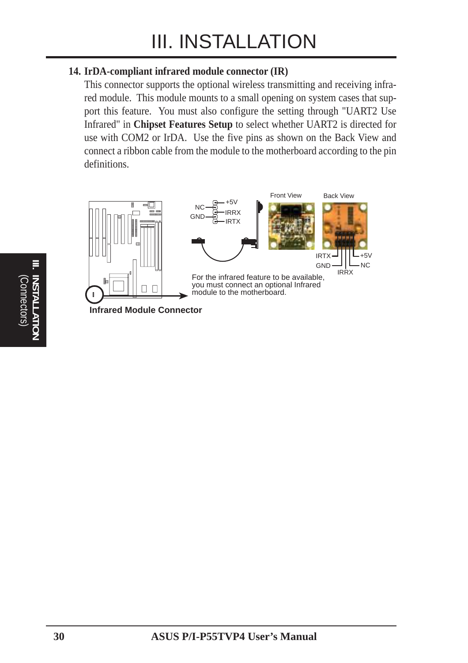#### **14. IrDA-compliant infrared module connector (IR)**

This connector supports the optional wireless transmitting and receiving infrared module. This module mounts to a small opening on system cases that support this feature. You must also configure the setting through "UART2 Use Infrared" in **Chipset Features Setup** to select whether UART2 is directed for use with COM2 or IrDA. Use the five pins as shown on the Back View and connect a ribbon cable from the module to the motherboard according to the pin definitions.

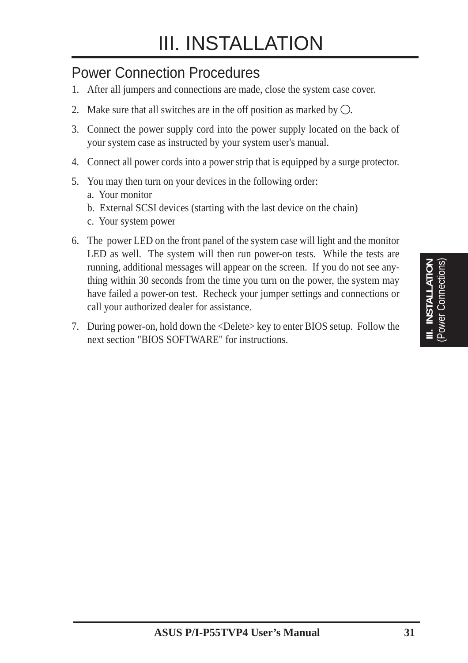### Power Connection Procedures

- 1. After all jumpers and connections are made, close the system case cover.
- 2. Make sure that all switches are in the off position as marked by  $\bigcirc$ .
- 3. Connect the power supply cord into the power supply located on the back of your system case as instructed by your system user's manual.
- 4. Connect all power cords into a power strip that is equipped by a surge protector.
- 5. You may then turn on your devices in the following order:
	- a. Your monitor
	- b. External SCSI devices (starting with the last device on the chain)
	- c. Your system power
- 6. The power LED on the front panel of the system case will light and the monitor LED as well. The system will then run power-on tests. While the tests are running, additional messages will appear on the screen. If you do not see anything within 30 seconds from the time you turn on the power, the system may have failed a power-on test. Recheck your jumper settings and connections or call your authorized dealer for assistance.
- 7. During power-on, hold down the <Delete> key to enter BIOS setup. Follow the next section "BIOS SOFTWARE" for instructions.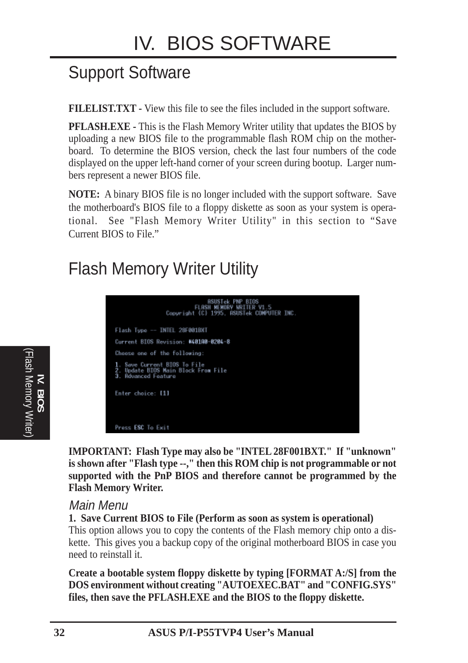# IV. BIOS SOFTWARE

## Support Software

**FILELIST.TXT -** View this file to see the files included in the support software.

**PFLASH.EXE -** This is the Flash Memory Writer utility that updates the BIOS by uploading a new BIOS file to the programmable flash ROM chip on the motherboard. To determine the BIOS version, check the last four numbers of the code displayed on the upper left-hand corner of your screen during bootup. Larger numbers represent a newer BIOS file.

**NOTE:** A binary BIOS file is no longer included with the support software. Save the motherboard's BIOS file to a floppy diskette as soon as your system is operational. See "Flash Memory Writer Utility" in this section to "Save Current BIOS to File."

## Flash Memory Writer Utility



**IMPORTANT: Flash Type may also be "INTEL 28F001BXT." If "unknown" is shown after "Flash type --," then this ROM chip is not programmable or not supported with the PnP BIOS and therefore cannot be programmed by the Flash Memory Writer.**

#### Main Menu

**1. Save Current BIOS to File (Perform as soon as system is operational)** This option allows you to copy the contents of the Flash memory chip onto a diskette. This gives you a backup copy of the original motherboard BIOS in case you need to reinstall it.

**Create a bootable system floppy diskette by typing [FORMAT A:/S] from the DOS environment without creating "AUTOEXEC.BAT" and "CONFIG.SYS" files, then save the PFLASH.EXE and the BIOS to the floppy diskette.**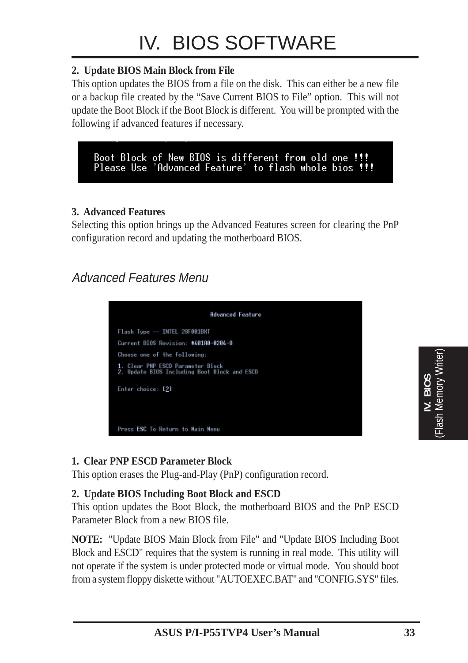#### **2. Update BIOS Main Block from File**

This option updates the BIOS from a file on the disk. This can either be a new file or a backup file created by the "Save Current BIOS to File" option. This will not update the Boot Block if the Boot Block is different. You will be prompted with the following if advanced features if necessary.



#### **3. Advanced Features**

Selecting this option brings up the Advanced Features screen for clearing the PnP configuration record and updating the motherboard BIOS.

### Advanced Features Menu



#### **1. Clear PNP ESCD Parameter Block**

This option erases the Plug-and-Play (PnP) configuration record.

#### **2. Update BIOS Including Boot Block and ESCD**

This option updates the Boot Block, the motherboard BIOS and the PnP ESCD Parameter Block from a new BIOS file.

**NOTE:** "Update BIOS Main Block from File" and "Update BIOS Including Boot Block and ESCD" requires that the system is running in real mode. This utility will not operate if the system is under protected mode or virtual mode. You should boot from a system floppy diskette without "AUTOEXEC.BAT" and "CONFIG.SYS" files.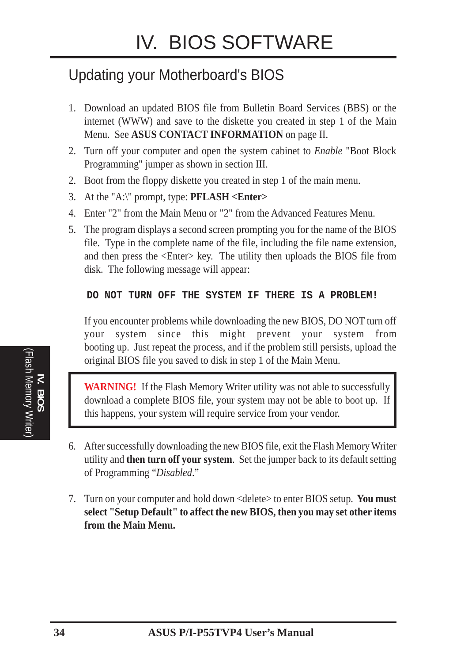## Updating your Motherboard's BIOS

- 1. Download an updated BIOS file from Bulletin Board Services (BBS) or the internet (WWW) and save to the diskette you created in step 1 of the Main Menu. See **ASUS CONTACT INFORMATION** on page II.
- 2. Turn off your computer and open the system cabinet to *Enable* "Boot Block Programming" jumper as shown in section III.
- 2. Boot from the floppy diskette you created in step 1 of the main menu.
- 3. At the "A:\" prompt, type: **PFLASH <Enter>**
- 4. Enter "2" from the Main Menu or "2" from the Advanced Features Menu.
- 5. The program displays a second screen prompting you for the name of the BIOS file. Type in the complete name of the file, including the file name extension, and then press the <Enter> key. The utility then uploads the BIOS file from disk. The following message will appear:

#### **DO NOT TURN OFF THE SYSTEM IF THERE IS A PROBLEM!**

If you encounter problems while downloading the new BIOS, DO NOT turn off your system since this might prevent your system from booting up. Just repeat the process, and if the problem still persists, upload the original BIOS file you saved to disk in step 1 of the Main Menu.

**WARNING!** If the Flash Memory Writer utility was not able to successfully download a complete BIOS file, your system may not be able to boot up. If this happens, your system will require service from your vendor.

- 6. After successfully downloading the new BIOS file, exit the Flash Memory Writer utility and **then turn off your system**. Set the jumper back to its default setting of Programming "*Disabled*."
- 7. Turn on your computer and hold down <delete> to enter BIOS setup. **You must select "Setup Default" to affect the new BIOS, then you may set other items from the Main Menu.**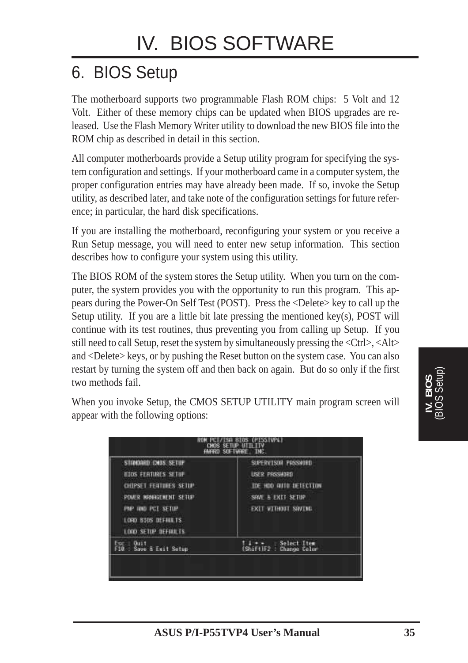## 6. BIOS Setup

The motherboard supports two programmable Flash ROM chips: 5 Volt and 12 Volt. Either of these memory chips can be updated when BIOS upgrades are released. Use the Flash Memory Writer utility to download the new BIOS file into the ROM chip as described in detail in this section.

All computer motherboards provide a Setup utility program for specifying the system configuration and settings. If your motherboard came in a computer system, the proper configuration entries may have already been made. If so, invoke the Setup utility, as described later, and take note of the configuration settings for future reference; in particular, the hard disk specifications.

If you are installing the motherboard, reconfiguring your system or you receive a Run Setup message, you will need to enter new setup information. This section describes how to configure your system using this utility.

The BIOS ROM of the system stores the Setup utility. When you turn on the computer, the system provides you with the opportunity to run this program. This appears during the Power-On Self Test (POST). Press the <Delete> key to call up the Setup utility. If you are a little bit late pressing the mentioned key(s), POST will continue with its test routines, thus preventing you from calling up Setup. If you still need to call Setup, reset the system by simultaneously pressing the  $\langle \text{Ctrl} \rangle$ ,  $\langle \text{Alt} \rangle$ and <Delete> keys, or by pushing the Reset button on the system case. You can also restart by turning the system off and then back on again. But do so only if the first two methods fail.

When you invoke Setup, the CMOS SETUP UTILITY main program screen will appear with the following options:

|                                                                                                                                                                            | <b>LE LOO LWELL</b><br>CHOS SETUP<br><b>MILLIIV</b><br>HARRD SOFTWARE THE                                         |
|----------------------------------------------------------------------------------------------------------------------------------------------------------------------------|-------------------------------------------------------------------------------------------------------------------|
| STONDARD CNDS SETUP<br><b>810S FEATURES SETUP</b><br>CHIPSET FEATURES SETUP<br>POWER MRNAGEMENT SETUP<br>PHP AND PCI SETUP<br>LORD STOS DEFINILTS.<br>LOOD SETUP DEFINIERS | SUPERVISOR PASSHORD<br><b>USER PRSSHORD</b><br>IDE HOD AUTO DETECTION<br>SAVE & EXIT SETUP<br>EXIT VITHOUT SAVING |
| Ouit<br>Save & Exit Setup                                                                                                                                                  | Select Item<br><b>Change Color</b>                                                                                |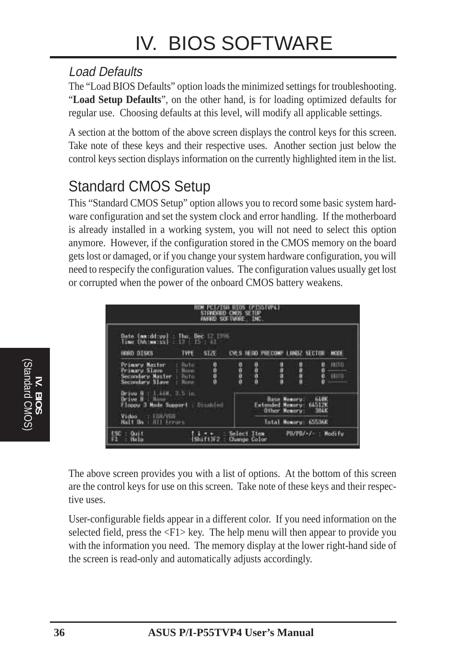### Load Defaults

The "Load BIOS Defaults" option loads the minimized settings for troubleshooting. "**Load Setup Defaults**", on the other hand, is for loading optimized defaults for regular use. Choosing defaults at this level, will modify all applicable settings.

A section at the bottom of the above screen displays the control keys for this screen. Take note of these keys and their respective uses. Another section just below the control keys section displays information on the currently highlighted item in the list.

## Standard CMOS Setup

This "Standard CMOS Setup" option allows you to record some basic system hardware configuration and set the system clock and error handling. If the motherboard is already installed in a working system, you will not need to select this option anymore. However, if the configuration stored in the CMOS memory on the board gets lost or damaged, or if you change your system hardware configuration, you will need to respecify the configuration values. The configuration values usually get lost or corrupted when the power of the onboard CMOS battery weakens.

| <b>TSH</b><br>STANDARD CHOS SETUP<br><b>AWARD SOFTWARE THE.</b>                                                                                      | <b>B105</b> |            | <b>LETSSTAPET</b>                               |              |                        |                             |
|------------------------------------------------------------------------------------------------------------------------------------------------------|-------------|------------|-------------------------------------------------|--------------|------------------------|-----------------------------|
| Date (mm:dd:yy)<br>Time (hh:mm:ss)<br>$\frac{\text{The number of 1}}{15}$ , $\frac{1}{15}$ , $\frac{1}{15}$<br>15 + 41<br>SL/E<br>HARD DISKS<br>TVPE |             |            | CYLS HERD PRECOMP LANDZ SECTOR                  |              |                        | <b>HODE</b>                 |
| Primary Master<br>Huto<br><b>0000</b><br>Primary Slave<br>Name<br>Secondary Master<br><b>Butn</b><br>Secondary Slave<br><b>Bune</b>                  | 9999        | <b>OOO</b> | 医骨盆血                                            | 计数字符         | 医脊髓鞘                   | <b>BUTO</b><br><b>INJEG</b> |
| $-1.444 - 3.5$ in<br>Drive R<br>Drive B : Hone<br>Floppy 3 Mode Support : Disabled                                                                   |             |            | <b>Extended Memory:</b><br><b>Other Memory:</b> | Base Neworu: | 640K<br>64512K<br>384K |                             |
| <b>I EDH/VOR</b><br>Video<br>Halt On : Ull Errors                                                                                                    |             |            | Total Memory:                                   |              | 65536K                 |                             |

The above screen provides you with a list of options. At the bottom of this screen are the control keys for use on this screen. Take note of these keys and their respective uses.

User-configurable fields appear in a different color. If you need information on the selected field, press the <F1> key. The help menu will then appear to provide you with the information you need. The memory display at the lower right-hand side of the screen is read-only and automatically adjusts accordingly.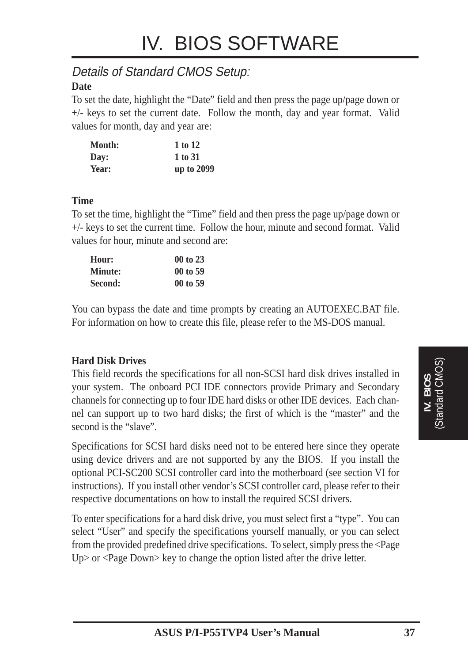### Details of Standard CMOS Setup:

#### **Date**

To set the date, highlight the "Date" field and then press the page up/page down or +/- keys to set the current date. Follow the month, day and year format. Valid values for month, day and year are:

| <b>Month:</b> | 1 to 12    |
|---------------|------------|
| Day:          | 1 to 31    |
| Year:         | up to 2099 |

#### **Time**

To set the time, highlight the "Time" field and then press the page up/page down or +/- keys to set the current time. Follow the hour, minute and second format. Valid values for hour, minute and second are:

| Hour:          | 00 to 23 |
|----------------|----------|
| <b>Minute:</b> | 00 to 59 |
| Second:        | 00 to 59 |

You can bypass the date and time prompts by creating an AUTOEXEC.BAT file. For information on how to create this file, please refer to the MS-DOS manual.

#### **Hard Disk Drives**

This field records the specifications for all non-SCSI hard disk drives installed in your system. The onboard PCI IDE connectors provide Primary and Secondary channels for connecting up to four IDE hard disks or other IDE devices. Each channel can support up to two hard disks; the first of which is the "master" and the second is the "slave".

Specifications for SCSI hard disks need not to be entered here since they operate using device drivers and are not supported by any the BIOS. If you install the optional PCI-SC200 SCSI controller card into the motherboard (see section VI for instructions). If you install other vendor's SCSI controller card, please refer to their respective documentations on how to install the required SCSI drivers.

To enter specifications for a hard disk drive, you must select first a "type". You can select "User" and specify the specifications yourself manually, or you can select from the provided predefined drive specifications. To select, simply press the <Page Up is or  $\langle$  Page Down  $>$  key to change the option listed after the drive letter.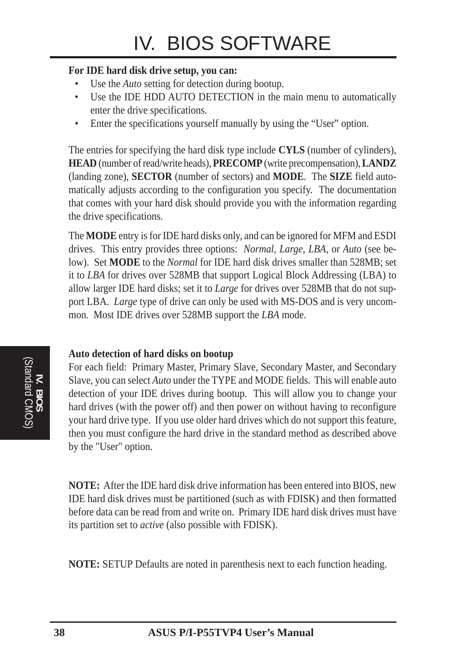#### **For IDE hard disk drive setup, you can:**

- Use the *Auto* setting for detection during bootup.
- Use the IDE HDD AUTO DETECTION in the main menu to automatically enter the drive specifications.
- Enter the specifications yourself manually by using the "User" option.

The entries for specifying the hard disk type include **CYLS** (number of cylinders), **HEAD** (number of read/write heads), **PRECOMP** (write precompensation), **LANDZ** (landing zone), **SECTOR** (number of sectors) and **MODE**. The **SIZE** field automatically adjusts according to the configuration you specify. The documentation that comes with your hard disk should provide you with the information regarding the drive specifications.

The **MODE** entry is for IDE hard disks only, and can be ignored for MFM and ESDI drives. This entry provides three options: *Normal, Large, LBA*, or *Auto* (see below). Set **MODE** to the *Normal* for IDE hard disk drives smaller than 528MB; set it to *LBA* for drives over 528MB that support Logical Block Addressing (LBA) to allow larger IDE hard disks; set it to *Large* for drives over 528MB that do not support LBA. *Large* type of drive can only be used with MS-DOS and is very uncommon. Most IDE drives over 528MB support the *LBA* mode.

#### **Auto detection of hard disks on bootup**

For each field: Primary Master, Primary Slave, Secondary Master, and Secondary Slave, you can select *Auto* under the TYPE and MODE fields. This will enable auto detection of your IDE drives during bootup. This will allow you to change your hard drives (with the power off) and then power on without having to reconfigure your hard drive type. If you use older hard drives which do not support this feature, then you must configure the hard drive in the standard method as described above by the "User" option.

**NOTE:** After the IDE hard disk drive information has been entered into BIOS, new IDE hard disk drives must be partitioned (such as with FDISK) and then formatted before data can be read from and write on. Primary IDE hard disk drives must have its partition set to *active* (also possible with FDISK).

**NOTE:** SETUP Defaults are noted in parenthesis next to each function heading.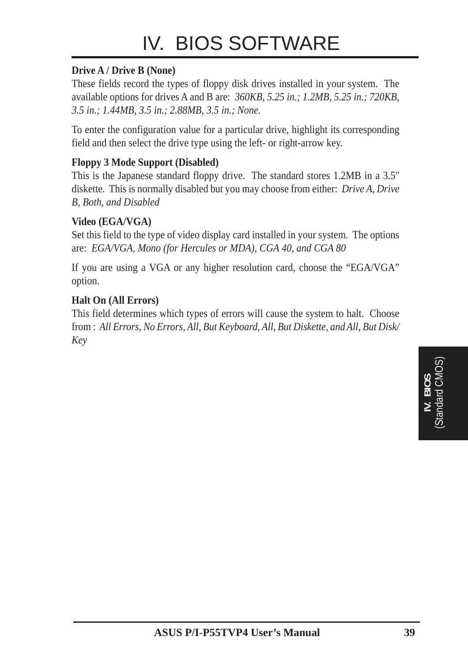# IV. BIOS SOFTWARE

#### **Drive A / Drive B (None)**

These fields record the types of floppy disk drives installed in your system. The available options for drives A and B are: *360KB, 5.25 in.; 1.2MB, 5.25 in.; 720KB, 3.5 in.; 1.44MB, 3.5 in.; 2.88MB, 3.5 in.; None.*

To enter the configuration value for a particular drive, highlight its corresponding field and then select the drive type using the left- or right-arrow key.

#### **Floppy 3 Mode Support (Disabled)**

This is the Japanese standard floppy drive. The standard stores 1.2MB in a 3.5" diskette. This is normally disabled but you may choose from either: *Drive A, Drive B, Both, and Disabled*

#### **Video (EGA/VGA)**

Set this field to the type of video display card installed in your system. The options are: *EGA/VGA, Mono (for Hercules or MDA), CGA 40, and CGA 80*

If you are using a VGA or any higher resolution card, choose the "EGA/VGA" option.

#### **Halt On (All Errors)**

This field determines which types of errors will cause the system to halt. Choose from : *All Errors, No Errors, All, But Keyboard, All, But Diskette, and All, But Disk/ Key*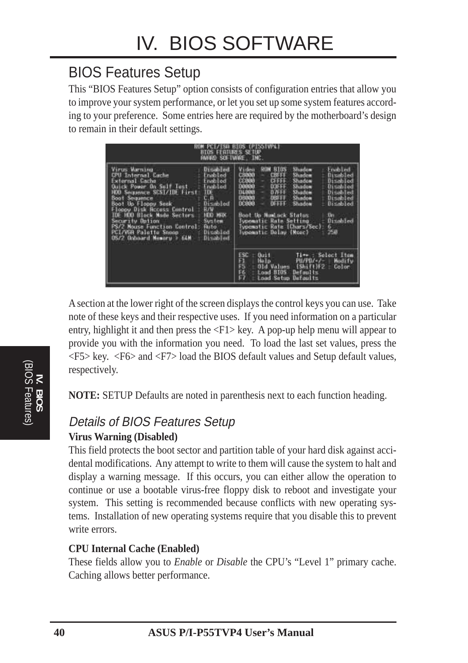### BIOS Features Setup

This "BIOS Features Setup" option consists of configuration entries that allow you to improve your system performance, or let you set up some system features according to your preference. Some entries here are required by the motherboard's design to remain in their default settings.

|                                                                                                                                                                                                                                                                                                                                                                                                                                                                                      | <b>BIDS (FISSIVPL)</b><br>BIOS FEATURES SETUP<br>AWARD SOFTWARE THE                                                                                                                                                                                                                                                                                                                                                                                                                                                                                                                                   |
|--------------------------------------------------------------------------------------------------------------------------------------------------------------------------------------------------------------------------------------------------------------------------------------------------------------------------------------------------------------------------------------------------------------------------------------------------------------------------------------|-------------------------------------------------------------------------------------------------------------------------------------------------------------------------------------------------------------------------------------------------------------------------------------------------------------------------------------------------------------------------------------------------------------------------------------------------------------------------------------------------------------------------------------------------------------------------------------------------------|
| <b>D</b> unabled<br>Virus Marning<br>CPU Internal Cache<br>thabled<br><b>External Cache</b><br>Enabled<br>Quick Power On Sulf Tast<br>nabled<br>H00 Sequence SCSI/IDE First<br>瞧<br>Boot Sequence<br>Dismbled<br>Boot Up Floppy Seek<br>loppy Disk Hocess Control<br>R∕W<br><b>HOO Block Mode Sectors</b><br>HDD MRX<br>Security Option<br>System<br>PS/2 Mouse Function Control:<br>filsto.<br><b>PCI/VGA Palette Snoop</b><br>Disabled<br>OS/2 Ochoard Newory ><br>Disabled<br>64R | <b>RON 810S</b><br>Shadow<br>Video<br>Envisied<br>C8000<br>Shadow<br>Disabled<br>嘂<br>00000<br>Disabled<br>Shadow<br>00800<br>Disabled<br>Shadow<br>04000<br>Shadow<br>Disabled<br>淵<br>08080<br>Disabled<br><b>Shadow</b><br>Disabled<br>Shadow<br>th.<br><b>Boot Up Mintock Status</b><br>Disabled<br>Tupematic Rate Setting<br>Typematic Rate (Chars/Sec)<br>65.<br>258<br>Ivoematic Delay (Msec)<br>ESC<br>Soloct Itom<br>0 <sub>u11</sub><br>Time 1<br>Fi<br>Ru<br>PU/PD/+/-<br>Help<br><b>Hosti Fy</b><br>[Shift]<br><b>Old Values</b><br>Color<br>Lond BIOS<br>Defaults<br>Load Setup Dafaults |

A section at the lower right of the screen displays the control keys you can use. Take note of these keys and their respective uses. If you need information on a particular entry, highlight it and then press the  $\langle F1 \rangle$  key. A pop-up help menu will appear to provide you with the information you need. To load the last set values, press the <F5> key. <F6> and <F7> load the BIOS default values and Setup default values, respectively.

**NOTE:** SETUP Defaults are noted in parenthesis next to each function heading.

### Details of BIOS Features Setup

#### **Virus Warning (Disabled)**

This field protects the boot sector and partition table of your hard disk against accidental modifications. Any attempt to write to them will cause the system to halt and display a warning message. If this occurs, you can either allow the operation to continue or use a bootable virus-free floppy disk to reboot and investigate your system. This setting is recommended because conflicts with new operating systems. Installation of new operating systems require that you disable this to prevent write errors.

#### **CPU Internal Cache (Enabled)**

These fields allow you to *Enable* or *Disable* the CPU's "Level 1" primary cache. Caching allows better performance.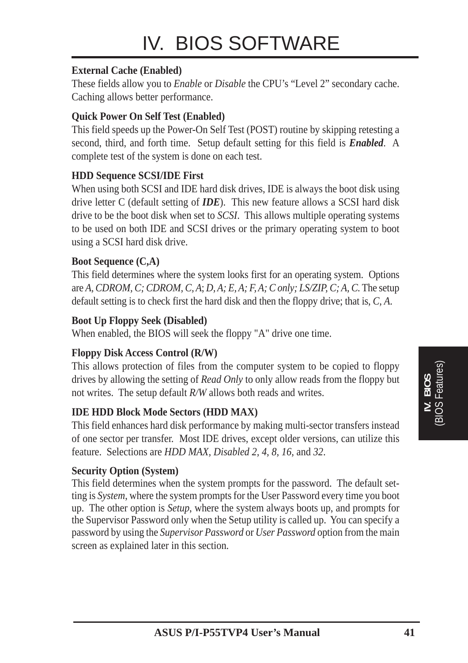#### **External Cache (Enabled)**

These fields allow you to *Enable* or *Disable* the CPU's "Level 2" secondary cache. Caching allows better performance.

#### **Quick Power On Self Test (Enabled)**

This field speeds up the Power-On Self Test (POST) routine by skipping retesting a second, third, and forth time. Setup default setting for this field is *Enabled*. A complete test of the system is done on each test.

#### **HDD Sequence SCSI/IDE First**

When using both SCSI and IDE hard disk drives, IDE is always the boot disk using drive letter C (default setting of *IDE*). This new feature allows a SCSI hard disk drive to be the boot disk when set to *SCSI*. This allows multiple operating systems to be used on both IDE and SCSI drives or the primary operating system to boot using a SCSI hard disk drive.

#### **Boot Sequence (C,A)**

This field determines where the system looks first for an operating system. Options are *A, CDROM, C; CDROM, C, A*; *D, A; E, A; F, A; C only; LS/ZIP, C; A, C.* The setup default setting is to check first the hard disk and then the floppy drive; that is, *C, A*.

#### **Boot Up Floppy Seek (Disabled)**

When enabled, the BIOS will seek the floppy "A" drive one time.

#### **Floppy Disk Access Control (R/W)**

This allows protection of files from the computer system to be copied to floppy drives by allowing the setting of *Read Only* to only allow reads from the floppy but not writes. The setup default *R/W* allows both reads and writes.

#### **IDE HDD Block Mode Sectors (HDD MAX)**

This field enhances hard disk performance by making multi-sector transfers instead of one sector per transfer. Most IDE drives, except older versions, can utilize this feature. Selections are *HDD MAX, Disabled 2, 4, 8, 16,* and *32*.

#### **Security Option (System)**

This field determines when the system prompts for the password. The default setting is *System*, where the system prompts for the User Password every time you boot up. The other option is *Setup*, where the system always boots up, and prompts for the Supervisor Password only when the Setup utility is called up. You can specify a password by using the *Supervisor Password* or *User Password* option from the main screen as explained later in this section.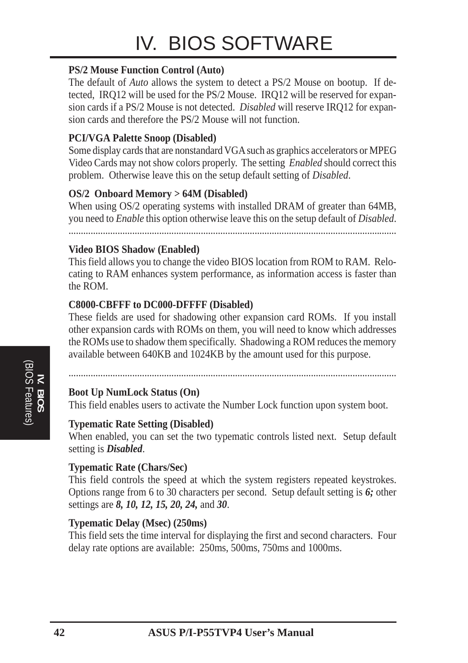# IV. BIOS SOFTWARE

#### **PS/2 Mouse Function Control (Auto)**

The default of *Auto* allows the system to detect a PS/2 Mouse on bootup. If detected, IRQ12 will be used for the PS/2 Mouse. IRQ12 will be reserved for expansion cards if a PS/2 Mouse is not detected. *Disabled* will reserve IRQ12 for expansion cards and therefore the PS/2 Mouse will not function.

#### **PCI/VGA Palette Snoop (Disabled)**

Some display cards that are nonstandard VGA such as graphics accelerators or MPEG Video Cards may not show colors properly. The setting *Enabled* should correct this problem. Otherwise leave this on the setup default setting of *Disabled*.

#### **OS/2 Onboard Memory > 64M (Disabled)**

When using OS/2 operating systems with installed DRAM of greater than 64MB, you need to *Enable* this option otherwise leave this on the setup default of *Disabled*.

......................................................................................................................................

#### **Video BIOS Shadow (Enabled)**

This field allows you to change the video BIOS location from ROM to RAM. Relocating to RAM enhances system performance, as information access is faster than the ROM.

#### **C8000-CBFFF to DC000-DFFFF (Disabled)**

These fields are used for shadowing other expansion card ROMs. If you install other expansion cards with ROMs on them, you will need to know which addresses the ROMs use to shadow them specifically. Shadowing a ROM reduces the memory available between 640KB and 1024KB by the amount used for this purpose.

......................................................................................................................................

#### **Boot Up NumLock Status (On)**

This field enables users to activate the Number Lock function upon system boot.

#### **Typematic Rate Setting (Disabled)**

When enabled, you can set the two typematic controls listed next. Setup default setting is *Disabled*.

#### **Typematic Rate (Chars/Sec)**

This field controls the speed at which the system registers repeated keystrokes. Options range from 6 to 30 characters per second. Setup default setting is *6;* other settings are *8, 10, 12, 15, 20, 24,* and *30*.

#### **Typematic Delay (Msec) (250ms)**

This field sets the time interval for displaying the first and second characters. Four delay rate options are available: 250ms, 500ms, 750ms and 1000ms.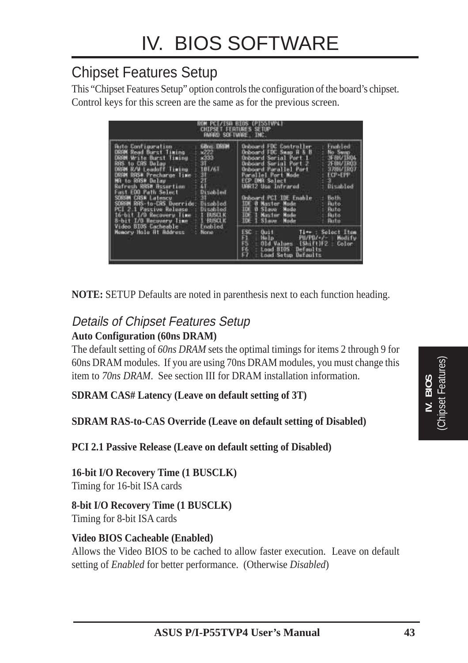### Chipset Features Setup

This "Chipset Features Setup" option controls the configuration of the board's chipset. Control keys for this screen are the same as for the previous screen.

|                                                                                                                                                                                                                                                                                                                                                                                                                                                | CHIPSET FEATURES SETUP<br><b>AWARD SOFTWARE INC.</b>                                                                                                    |                                                                                                                                                                                                                                                                                                                                                                                                                                                                                                                                                                                                                                                                                                                                                     |
|------------------------------------------------------------------------------------------------------------------------------------------------------------------------------------------------------------------------------------------------------------------------------------------------------------------------------------------------------------------------------------------------------------------------------------------------|---------------------------------------------------------------------------------------------------------------------------------------------------------|-----------------------------------------------------------------------------------------------------------------------------------------------------------------------------------------------------------------------------------------------------------------------------------------------------------------------------------------------------------------------------------------------------------------------------------------------------------------------------------------------------------------------------------------------------------------------------------------------------------------------------------------------------------------------------------------------------------------------------------------------------|
| <b>Reto Configuration</b><br>DRSM Read Burst Timing<br>DRAM Write Burst Timing<br><b>RRS to CRS Delay</b><br>DOOM R/W Leadoff Timing<br>DOGN BRSM Precharge Time<br>MR to RRSR Delay<br><b>Refresh RASH Assertion</b><br><b>First EDD Path Select</b><br>SOBSH CRSR Latency<br>SORFIN RRS-to-CRS Dverrido:<br>PCI 2.1 Passive Release<br>16-bit 1/0 Recovery Time<br>8-bit I/O Necovery Time<br>Video BIOS Cacheable<br>Momory Hole Ht Hddress | <b>68ns</b> DRIM<br>x222<br>4133<br>91<br>101761<br>腓<br>isabled<br>isebled<br>Disabled<br><b>BUSCI K</b><br><b>HUSCLK</b><br>Enabled<br><b>Riginal</b> | <b>Suboard FBC Controller</b><br>tnabled<br><b>Onboard FDC Swap H &amp; B</b><br>No Sento<br><b>JF8K/IRQ</b><br><b>Onboard Serial Port 1</b><br><b>2FBN/TRO</b><br>Onboard Serial Port 2<br>378N/IRO7<br><b>Onboard Parallel Part</b><br>ECP-EPP<br>Parallel Port Mode<br>ECP DHA Solect<br>lisabied<br>USRT2 Sise Infrared<br><b>Onboard PCI IDE Enable</b><br><b>Both</b><br>Huto<br><b>TDE 8 Master</b><br>Mode<br>ШE<br>0 Slave<br><b>Ruto</b><br>Mode<br>雘<br><b>Huto</b><br>ı<br>Nasclair<br><b>Node</b><br>п<br><b>Huto</b><br>Slave:<br>Mode<br>2011年12月<br>Soloct Itom<br>0 <sub>u11</sub><br>Time 1<br>Help<br>PU/PD/+/-<br><b>HouseTy</b><br>[Shift]<br><b>Old Values</b><br>Color<br>Lond BIOS<br>Defaults<br>F7<br>Load Setup Dufaults |

**NOTE:** SETUP Defaults are noted in parenthesis next to each function heading.

#### Details of Chipset Features Setup **Auto Configuration (60ns DRAM)**

The default setting of *60ns DRAM* sets the optimal timings for items 2 through 9 for 60ns DRAM modules. If you are using 70ns DRAM modules, you must change this item to *70ns DRAM*. See section III for DRAM installation information.

**SDRAM CAS# Latency (Leave on default setting of 3T)**

**SDRAM RAS-to-CAS Override (Leave on default setting of Disabled)**

**PCI 2.1 Passive Release (Leave on default setting of Disabled)**

**16-bit I/O Recovery Time (1 BUSCLK)** Timing for 16-bit ISA cards

**8-bit I/O Recovery Time (1 BUSCLK)** Timing for 8-bit ISA cards

#### **Video BIOS Cacheable (Enabled)**

Allows the Video BIOS to be cached to allow faster execution. Leave on default setting of *Enabled* for better performance. (Otherwise *Disabled*)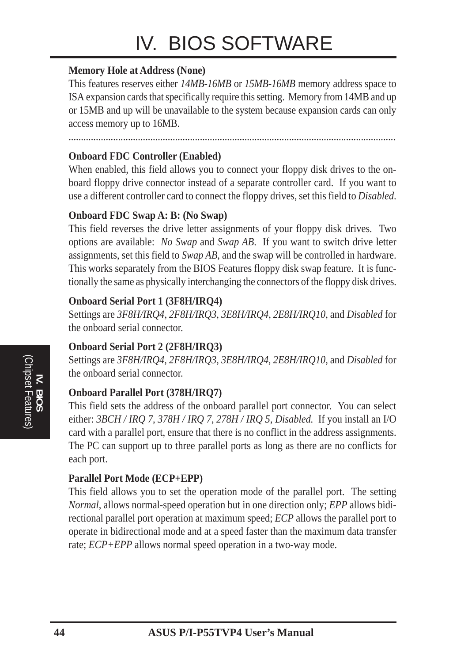# IV. BIOS SOFTWARE

#### **Memory Hole at Address (None)**

This features reserves either *14MB-16MB* or *15MB-16MB* memory address space to ISA expansion cards that specifically require this setting. Memory from 14MB and up or 15MB and up will be unavailable to the system because expansion cards can only access memory up to 16MB.

....................................................................................................................................

#### **Onboard FDC Controller (Enabled)**

When enabled, this field allows you to connect your floppy disk drives to the onboard floppy drive connector instead of a separate controller card. If you want to use a different controller card to connect the floppy drives, set this field to *Disabled*.

#### **Onboard FDC Swap A: B: (No Swap)**

This field reverses the drive letter assignments of your floppy disk drives. Two options are available: *No Swap* and *Swap AB*. If you want to switch drive letter assignments, set this field to *Swap AB*, and the swap will be controlled in hardware. This works separately from the BIOS Features floppy disk swap feature. It is functionally the same as physically interchanging the connectors of the floppy disk drives.

#### **Onboard Serial Port 1 (3F8H/IRQ4)**

Settings are *3F8H/IRQ4*, *2F8H/IRQ3, 3E8H/IRQ4, 2E8H/IRQ10,* and *Disabled* for the onboard serial connector.

#### **Onboard Serial Port 2 (2F8H/IRQ3)**

Settings are *3F8H/IRQ4, 2F8H/IRQ3*, *3E8H/IRQ4, 2E8H/IRQ10,* and *Disabled* for the onboard serial connector.

#### **Onboard Parallel Port (378H/IRQ7)**

This field sets the address of the onboard parallel port connector. You can select either: *3BCH / IRQ 7, 378H / IRQ 7, 278H / IRQ 5, Disabled.* If you install an I/O card with a parallel port, ensure that there is no conflict in the address assignments. The PC can support up to three parallel ports as long as there are no conflicts for each port.

#### **Parallel Port Mode (ECP+EPP)**

This field allows you to set the operation mode of the parallel port. The setting *Normal*, allows normal-speed operation but in one direction only; *EPP* allows bidirectional parallel port operation at maximum speed; *ECP* allows the parallel port to operate in bidirectional mode and at a speed faster than the maximum data transfer rate; *ECP+EPP* allows normal speed operation in a two-way mode.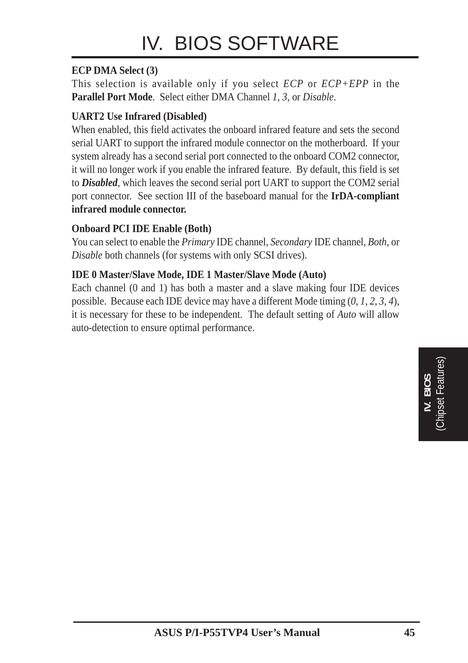#### **ECP DMA Select (3)**

This selection is available only if you select *ECP* or *ECP+EPP* in the **Parallel Port Mode**. Select either DMA Channel *1, 3*, or *Disable*.

#### **UART2 Use Infrared (Disabled)**

When enabled, this field activates the onboard infrared feature and sets the second serial UART to support the infrared module connector on the motherboard. If your system already has a second serial port connected to the onboard COM2 connector, it will no longer work if you enable the infrared feature. By default, this field is set to *Disabled*, which leaves the second serial port UART to support the COM2 serial port connector. See section III of the baseboard manual for the **IrDA-compliant infrared module connector.**

#### **Onboard PCI IDE Enable (Both)**

You can select to enable the *Primary* IDE channel, *Secondary* IDE channel, *Both*, or *Disable* both channels (for systems with only SCSI drives).

#### **IDE 0 Master/Slave Mode, IDE 1 Master/Slave Mode (Auto)**

Each channel (0 and 1) has both a master and a slave making four IDE devices possible. Because each IDE device may have a different Mode timing (*0, 1, 2, 3, 4*), it is necessary for these to be independent. The default setting of *Auto* will allow auto-detection to ensure optimal performance.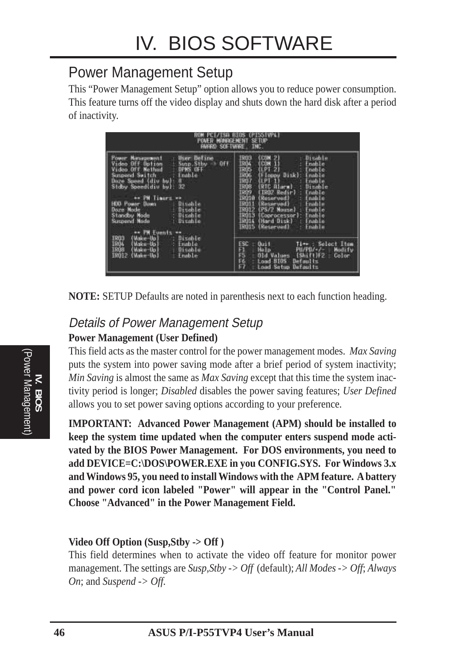### Power Management Setup

This "Power Management Setup" option allows you to reduce power consumption. This feature turns off the video display and shuts down the hard disk after a period of inactivity.

| POVER MANAGEMENT SETUP<br>HARRD SOFTWARE THE                                                                                                                                                              |                                                                                                                                                                                                         |
|-----------------------------------------------------------------------------------------------------------------------------------------------------------------------------------------------------------|---------------------------------------------------------------------------------------------------------------------------------------------------------------------------------------------------------|
| User Define<br><b>Nanagement</b><br>Power<br>Susp. Sthy<br>0ff<br>Video Off Option<br>DPMS OFF<br>Video Off. Nethad<br>Enable<br>Suspend Switch<br>Doze Speed (div bu)<br>u<br>92<br>Sidby Speed(div bu); | <b>Disable</b><br>(DDM 2)<br>(DDM 1)<br>LPT 2)<br>Floppy<br>18358885<br>tnable<br>Enable<br>$D_{1}xk$ :<br>Enable<br>LPT 1)<br>RTC Alarml<br>Enable<br>Disable<br>IROZ Redir)<br><b>IRO9</b><br>Enable  |
| ** PM Timers<br><b>100 Power Dawn</b><br>litsable<br>Doze Mode<br>Dischle<br><b>Disable</b><br>Standby Node<br><b>Disable</b><br>Suspend Node                                                             | IR010<br>Enable<br>Reserved.<br>1901 1<br>1901 2<br>Reserved)<br>Enable<br>Enable<br>PS/2 Nouse)<br>RÓ13<br>IRÓ14<br>Enable<br>(Coprocessor):<br>Enable<br>Hard Disk)<br>IB015<br>Enabl e<br>(Reserved) |
| ** PH Events<br>IROJ<br>IROJ<br>(Make-Up)<br>Disable<br><b>Hake-Up1</b><br>Enable.<br>Disable<br>(Make-Up)<br><b>IMO12</b><br>(Wake-Up)<br>Enable                                                         | ESC<br>Soloct Itam<br>$0$ u11<br>Time 1<br>Fi<br>Föll<br>PU/PD/+/-<br>Help<br><b>Hodity</b><br>[Shift]F2<br><b>Old Values</b><br>Color<br>Lond BIDS<br>Defaults<br>F7<br>Load Setup Dufaults            |

**NOTE:** SETUP Defaults are noted in parenthesis next to each function heading.

#### Details of Power Management Setup **Power Management (User Defined)**

This field acts as the master control for the power management modes. *Max Saving* puts the system into power saving mode after a brief period of system inactivity; *Min Saving* is almost the same as *Max Saving* except that this time the system inactivity period is longer; *Disabled* disables the power saving features; *User Defined* allows you to set power saving options according to your preference.

**IMPORTANT: Advanced Power Management (APM) should be installed to keep the system time updated when the computer enters suspend mode activated by the BIOS Power Management. For DOS environments, you need to add DEVICE=C:\DOS\POWER.EXE in you CONFIG.SYS. For Windows 3.x and Windows 95, you need to install Windows with the APM feature. A battery and power cord icon labeled "Power" will appear in the "Control Panel." Choose "Advanced" in the Power Management Field.**

#### **Video Off Option (Susp,Stby -> Off )**

This field determines when to activate the video off feature for monitor power management. The settings are *Susp,Stby -> Off* (default); *All Modes -> Off*; *Always On*; and *Suspend -> Off.*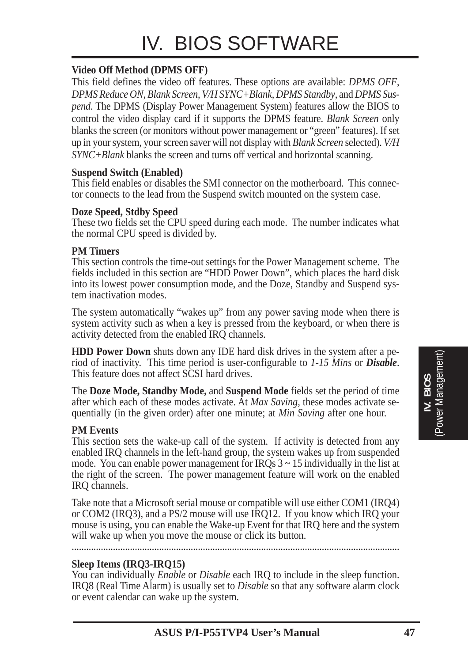#### **Video Off Method (DPMS OFF)**

This field defines the video off features. These options are available: *DPMS OFF*, *DPMS Reduce ON*, *Blank Screen*, *V/H SYNC+Blank*, *DPMS Standby*, and *DPMS Suspend*. The DPMS (Display Power Management System) features allow the BIOS to control the video display card if it supports the DPMS feature. *Blank Screen* only blanks the screen (or monitors without power management or "green" features). If set up in your system, your screen saver will not display with *Blank Screen* selected). *V/H SYNC+Blank* blanks the screen and turns off vertical and horizontal scanning.

#### **Suspend Switch (Enabled)**

This field enables or disables the SMI connector on the motherboard. This connector connects to the lead from the Suspend switch mounted on the system case.

#### **Doze Speed, Stdby Speed**

These two fields set the CPU speed during each mode. The number indicates what the normal CPU speed is divided by.

#### **PM Timers**

This section controls the time-out settings for the Power Management scheme. The fields included in this section are "HDD Power Down", which places the hard disk into its lowest power consumption mode, and the Doze, Standby and Suspend system inactivation modes.

The system automatically "wakes up" from any power saving mode when there is system activity such as when a key is pressed from the keyboard, or when there is activity detected from the enabled IRQ channels.

**HDD Power Down** shuts down any IDE hard disk drives in the system after a period of inactivity. This time period is user-configurable to *1-15 Mins* or *Disable*. This feature does not affect SCSI hard drives.

The **Doze Mode, Standby Mode,** and **Suspend Mode** fields set the period of time after which each of these modes activate. At *Max Saving*, these modes activate sequentially (in the given order) after one minute; at *Min Saving* after one hour.

#### **PM Events**

This section sets the wake-up call of the system. If activity is detected from any enabled IRQ channels in the left-hand group, the system wakes up from suspended mode. You can enable power management for IRQs  $3 \sim 15$  individually in the list at the right of the screen. The power management feature will work on the enabled IRQ channels.

Take note that a Microsoft serial mouse or compatible will use either COM1 (IRQ4) or COM2 (IRQ3), and a PS/2 mouse will use IRQ12. If you know which IRQ your mouse is using, you can enable the Wake-up Event for that IRQ here and the system will wake up when you move the mouse or click its button.

.......................................................................................................................................

#### **Sleep Items (IRQ3-IRQ15)**

You can individually *Enable* or *Disable* each IRQ to include in the sleep function. IRQ8 (Real Time Alarm) is usually set to *Disable* so that any software alarm clock or event calendar can wake up the system.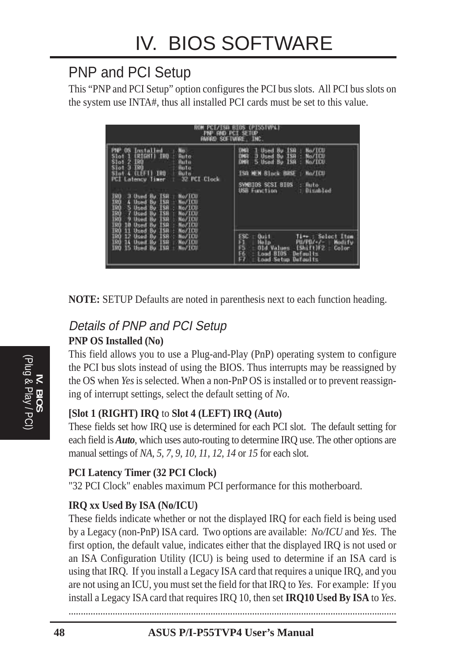### PNP and PCI Setup

This "PNP and PCI Setup" option configures the PCI bus slots. All PCI bus slots on the system use INTA#, thus all installed PCI cards must be set to this value.

| <b>PCI/15H</b>                                                                                                                                                                                                                                                                                                                                                                                                                                                  | <b>B10S</b><br><b><i>ILEDOLIMARI</i></b><br>PNP PND PCI SETUP<br>AWARD SOFTWARE INC.                                                                                                                                                                                                     |
|-----------------------------------------------------------------------------------------------------------------------------------------------------------------------------------------------------------------------------------------------------------------------------------------------------------------------------------------------------------------------------------------------------------------------------------------------------------------|------------------------------------------------------------------------------------------------------------------------------------------------------------------------------------------------------------------------------------------------------------------------------------------|
| Installed<br>No<br>us<br>RIGHTI IRD<br>Ruto<br>Ruto<br><b>Siot</b><br>20 <sup>2</sup><br>體<br>Slot<br>Slot<br>Huta<br>1 IRO<br>Auto<br><b>PCI Latency Timer</b><br>32 PCI Clock<br>No/ICU<br>No/ICU<br>No/ICU<br>No/ICU<br>No/ICU<br>No/ICU<br>No/ICU<br>No/ICU<br><b>TSH</b><br>180<br>180<br>180<br>Used By<br>а<br>ISA<br>ISA<br>$\frac{4}{3}$<br><b>Used Bu</b><br>Used By<br>ISH<br>ISH<br>Used<br><b>ALLY</b><br><b>Used</b><br>Bυ<br><b>Used</b><br>litu | <b>ISB</b><br>No/TCU<br>No/TCU<br>No/TCU<br>Used By<br>80.5<br>80H)<br>в<br><b>ISH</b><br><b>Used</b><br>B <sub>0</sub><br><b>DOM:</b><br><b>TSA</b><br>5<br>Used By<br>No/TCD<br><b>150 HEN Block BRSE</b><br>SYMBIOS SCSI DIOS<br><b>Huto</b><br>31<br>USB Function<br><b>Bisabled</b> |
| ISA<br>ISA<br>ISA<br>Used<br>Bυ<br><b>Used</b><br>Bυ<br>ISA<br>1930<br><b>Useil</b><br>Bυ<br>TS <sub>H</sub><br>No/TCU<br><b>IMO</b><br><b>Used Bu</b><br>15                                                                                                                                                                                                                                                                                                    | ESC<br>Soloct Itom<br>0 <sub>u11</sub><br>n ee<br>内部<br>PU/PD/+/-<br>Help<br><b>Hodity</b><br>[Shift]<br>Old Values<br>Color<br>Lond BIOS<br>Defaults<br>F7<br>Dafaul ts<br>Load Setup                                                                                                   |

**NOTE:** SETUP Defaults are noted in parenthesis next to each function heading.

## Details of PNP and PCI Setup

#### **PNP OS Installed (No)**

This field allows you to use a Plug-and-Play (PnP) operating system to configure the PCI bus slots instead of using the BIOS. Thus interrupts may be reassigned by the OS when *Yes* is selected. When a non-PnP OS is installed or to prevent reassigning of interrupt settings, select the default setting of *No*.

#### **[Slot 1 (RIGHT) IRQ** to **Slot 4 (LEFT) IRQ (Auto)**

These fields set how IRQ use is determined for each PCI slot. The default setting for each field is *Auto*, which uses auto-routing to determine IRQ use. The other options are manual settings of *NA, 5, 7, 9, 10, 11, 12, 14* or *15* for each slot.

#### **PCI Latency Timer (32 PCI Clock)**

"32 PCI Clock" enables maximum PCI performance for this motherboard.

#### **IRQ xx Used By ISA (No/ICU)**

These fields indicate whether or not the displayed IRQ for each field is being used by a Legacy (non-PnP) ISA card. Two options are available: *No/ICU* and *Yes*. The first option, the default value, indicates either that the displayed IRQ is not used or an ISA Configuration Utility (ICU) is being used to determine if an ISA card is using that IRQ. If you install a Legacy ISA card that requires a unique IRQ, and you are not using an ICU, you must set the field for that IRQ to *Yes*. For example: If you install a Legacy ISA card that requires IRQ 10, then set **IRQ10 Used By ISA** to *Yes*.

(Plug & Play / PCI) **IV. BIOS**<br> **IV. BIOS**<br> **IV. BIOS**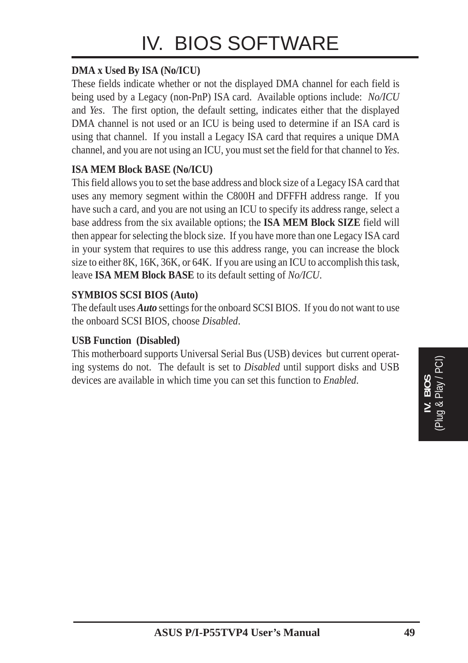#### **DMA x Used By ISA (No/ICU)**

These fields indicate whether or not the displayed DMA channel for each field is being used by a Legacy (non-PnP) ISA card. Available options include: *No/ICU* and *Yes*. The first option, the default setting, indicates either that the displayed DMA channel is not used or an ICU is being used to determine if an ISA card is using that channel. If you install a Legacy ISA card that requires a unique DMA channel, and you are not using an ICU, you must set the field for that channel to *Yes*.

#### **ISA MEM Block BASE (No/ICU)**

This field allows you to set the base address and block size of a Legacy ISA card that uses any memory segment within the C800H and DFFFH address range. If you have such a card, and you are not using an ICU to specify its address range, select a base address from the six available options; the **ISA MEM Block SIZE** field will then appear for selecting the block size. If you have more than one Legacy ISA card in your system that requires to use this address range, you can increase the block size to either 8K, 16K, 36K, or 64K. If you are using an ICU to accomplish this task, leave **ISA MEM Block BASE** to its default setting of *No/ICU*.

#### **SYMBIOS SCSI BIOS (Auto)**

The default uses *Auto* settings for the onboard SCSI BIOS. If you do not want to use the onboard SCSI BIOS, choose *Disabled*.

#### **USB Function (Disabled)**

This motherboard supports Universal Serial Bus (USB) devices but current operating systems do not. The default is set to *Disabled* until support disks and USB devices are available in which time you can set this function to *Enabled*.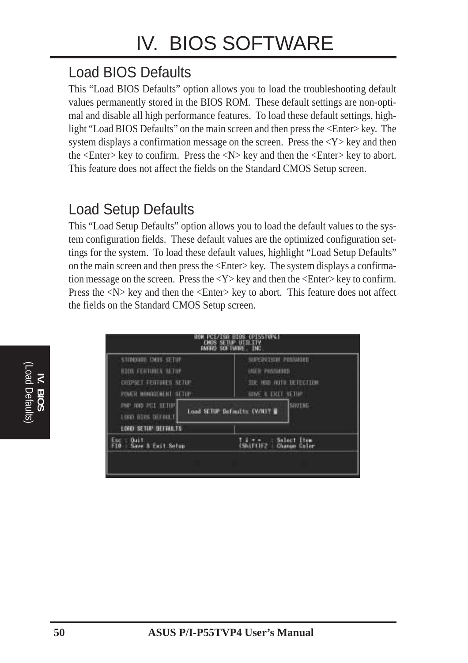### Load BIOS Defaults

This "Load BIOS Defaults" option allows you to load the troubleshooting default values permanently stored in the BIOS ROM. These default settings are non-optimal and disable all high performance features. To load these default settings, highlight "Load BIOS Defaults" on the main screen and then press the <Enter> key. The system displays a confirmation message on the screen. Press the  $\langle Y \rangle$  key and then the  $\leq$ Enter $\geq$  key to confirm. Press the  $\leq$ N $\geq$  key and then the  $\leq$ Enter $\geq$  key to abort. This feature does not affect the fields on the Standard CMOS Setup screen.

### Load Setup Defaults

This "Load Setup Defaults" option allows you to load the default values to the system configuration fields. These default values are the optimized configuration settings for the system. To load these default values, highlight "Load Setup Defaults" on the main screen and then press the <Enter> key. The system displays a confirmation message on the screen. Press the  $\langle Y \rangle$  key and then the  $\langle$ Enter $\rangle$  key to confirm. Press the <N> key and then the <Enter> key to abort. This feature does not affect the fields on the Standard CMOS Setup screen.

| STIDUARD CHUS SETUP                      | SEERVISON PRSSHOUL                                                |
|------------------------------------------|-------------------------------------------------------------------|
| <b>B10S FEBTUILES SETUP</b>              | <b>LISER PRESIDIO</b>                                             |
| CHIPSET FEBTURES SETUP                   | THE HOD AUTO DETECTION                                            |
| POMER MONOGENERT SETUP                   | SINE & ERIT SETUP                                                 |
| PHP RMD PCI SETUP<br>LOGO (EDIS DEFINIL) | SAVIHG<br>Load SETUP Defaults (V/N)?                              |
| LORD SETUP DEFAILTS                      |                                                                   |
| Oui.1<br>Save & Exit Setup               | <b>Solart Item</b><br>s <sub>diff1F2</sub><br><b>Change Color</b> |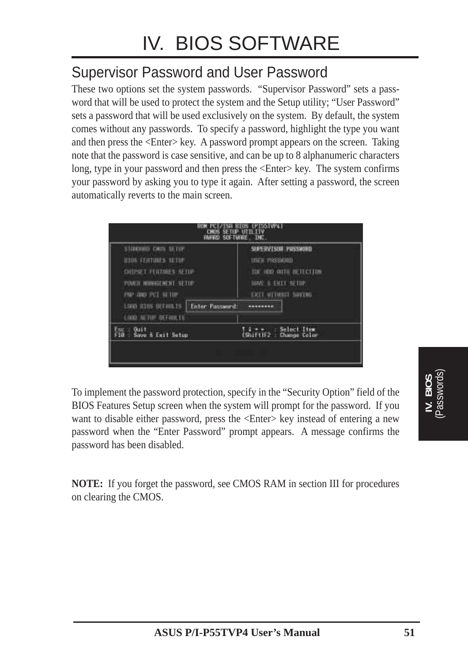### Supervisor Password and User Password

These two options set the system passwords. "Supervisor Password" sets a password that will be used to protect the system and the Setup utility; "User Password" sets a password that will be used exclusively on the system. By default, the system comes without any passwords. To specify a password, highlight the type you want and then press the <Enter> key. A password prompt appears on the screen. Taking note that the password is case sensitive, and can be up to 8 alphanumeric characters long, type in your password and then press the  $\leq$  Enter $\geq$  key. The system confirms your password by asking you to type it again. After setting a password, the screen automatically reverts to the main screen.

| STINCHED CHIS SETUP<br><b>HIDS FEATURES SETUP</b><br>DUPSET FEBRUARY SETUP | SUPERVISOR PRSSHORD<br>LEER PRESHORD                                                |
|----------------------------------------------------------------------------|-------------------------------------------------------------------------------------|
| PORER MINIABLINENT SETUP<br>THE THE TELL SETTIE                            | TOP HOD GUTH BETECTION<br><b>BAVE &amp; EXIT SETUP</b><br><b>EXTENTIABLE SQVING</b> |
| LOOD STOP DEFINITS<br>Enter Password:                                      |                                                                                     |
| LOOD SETTH DEFAULTS                                                        |                                                                                     |
| Ouit<br>Save & Exit Setup                                                  | Select Item<br>$\frac{1}{2}$<br><b>Change Color</b>                                 |

To implement the password protection, specify in the "Security Option" field of the BIOS Features Setup screen when the system will prompt for the password. If you want to disable either password, press the <Enter> key instead of entering a new password when the "Enter Password" prompt appears. A message confirms the password has been disabled.

**NOTE:** If you forget the password, see CMOS RAM in section III for procedures on clearing the CMOS.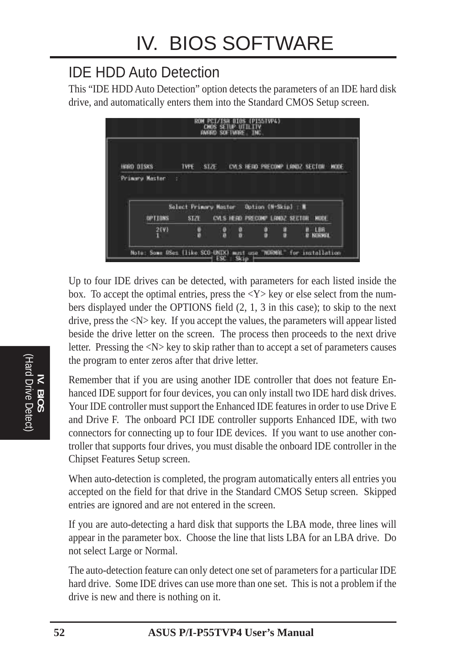### IDE HDD Auto Detection

This "IDE HDD Auto Detection" option detects the parameters of an IDE hard disk drive, and automatically enters them into the Standard CMOS Setup screen.

|                |                               | CYLS HERD PRECOMP LANDZ SECTOR<br>HODE                               |
|----------------|-------------------------------|----------------------------------------------------------------------|
| HARD DISKS     | \$12F<br>TVPE                 |                                                                      |
| Primary Master | ×                             |                                                                      |
|                |                               |                                                                      |
| <b>UPTIONS</b> | Select Primary Master<br>SL/E | Option (N-Skip) : N<br>CVLS HERD PRECOMP LANDZ SECTOR<br><b>MDBE</b> |

Up to four IDE drives can be detected, with parameters for each listed inside the box. To accept the optimal entries, press the  $\langle Y \rangle$  key or else select from the numbers displayed under the OPTIONS field (2, 1, 3 in this case); to skip to the next drive, press the <N> key. If you accept the values, the parameters will appear listed beside the drive letter on the screen. The process then proceeds to the next drive letter. Pressing the  $\langle N \rangle$  key to skip rather than to accept a set of parameters causes the program to enter zeros after that drive letter.

Remember that if you are using another IDE controller that does not feature Enhanced IDE support for four devices, you can only install two IDE hard disk drives. Your IDE controller must support the Enhanced IDE features in order to use Drive E and Drive F. The onboard PCI IDE controller supports Enhanced IDE, with two connectors for connecting up to four IDE devices. If you want to use another controller that supports four drives, you must disable the onboard IDE controller in the Chipset Features Setup screen.

When auto-detection is completed, the program automatically enters all entries you accepted on the field for that drive in the Standard CMOS Setup screen. Skipped entries are ignored and are not entered in the screen.

If you are auto-detecting a hard disk that supports the LBA mode, three lines will appear in the parameter box. Choose the line that lists LBA for an LBA drive. Do not select Large or Normal.

The auto-detection feature can only detect one set of parameters for a particular IDE hard drive. Some IDE drives can use more than one set. This is not a problem if the drive is new and there is nothing on it.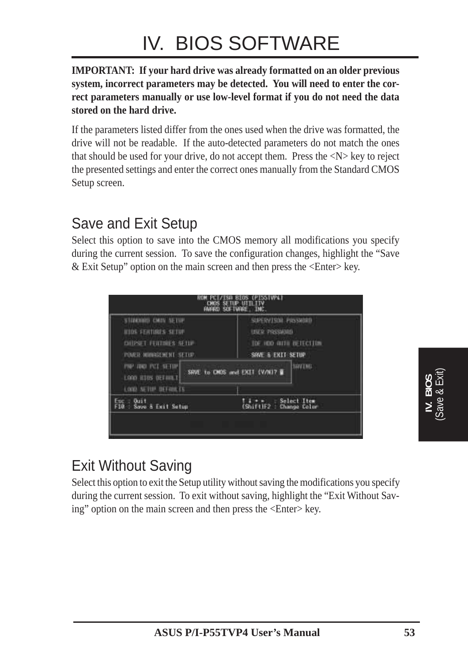**IMPORTANT: If your hard drive was already formatted on an older previous system, incorrect parameters may be detected. You will need to enter the correct parameters manually or use low-level format if you do not need the data stored on the hard drive.**

If the parameters listed differ from the ones used when the drive was formatted, the drive will not be readable. If the auto-detected parameters do not match the ones that should be used for your drive, do not accept them. Press the  $\langle N \rangle$  key to reject the presented settings and enter the correct ones manually from the Standard CMOS Setup screen.

### Save and Exit Setup

Select this option to save into the CMOS memory all modifications you specify during the current session. To save the configuration changes, highlight the "Save & Exit Setup" option on the main screen and then press the <Enter> key.

| STINGHING CHIS SETUP                     | SUPERVISOR PASSHORD                             |
|------------------------------------------|-------------------------------------------------|
|                                          |                                                 |
| HIDS FEATURES SETUP                      | LEER PASSHORD                                   |
| DUPSET FEBRUARE SETUP                    | TOP HOD GUTH HETECTION                          |
| POMER MINIABLINENT SETUP                 | SAVE & EXIT SETUP                               |
| IND THE PCT SETTIP<br>LOOD STRE DEFINILY | <b>RHATHD</b><br>SRVE to CMOS and EXII (V/N)? I |
| LOOD SETUP DEFAULTS                      |                                                 |
| Ouit<br>Save & Exit Setup                | Select Item<br><b>Change Color</b>              |

## Exit Without Saving

Select this option to exit the Setup utility without saving the modifications you specify during the current session. To exit without saving, highlight the "Exit Without Saving" option on the main screen and then press the <Enter> key.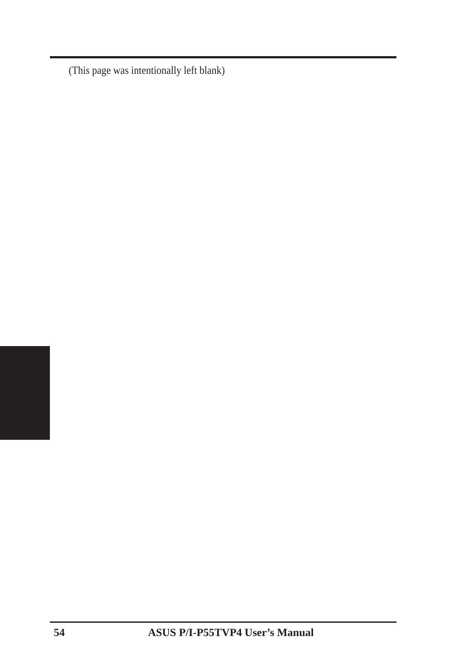(This page was intentionally left blank)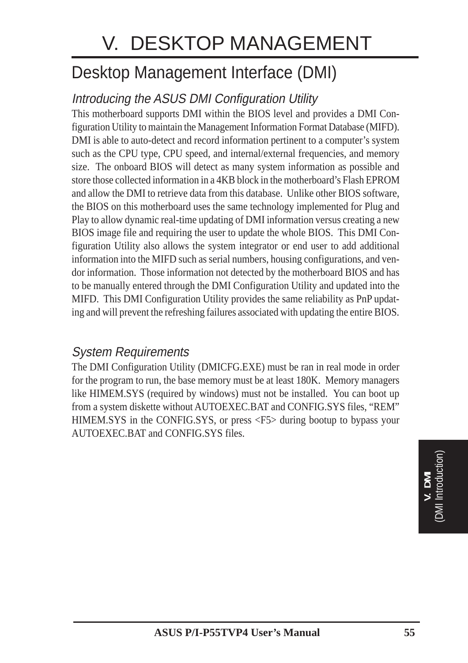# V. DESKTOP MANAGEMENT

## Desktop Management Interface (DMI)

### Introducing the ASUS DMI Configuration Utility

This motherboard supports DMI within the BIOS level and provides a DMI Configuration Utility to maintain the Management Information Format Database (MIFD). DMI is able to auto-detect and record information pertinent to a computer's system such as the CPU type, CPU speed, and internal/external frequencies, and memory size. The onboard BIOS will detect as many system information as possible and store those collected information in a 4KB block in the motherboard's Flash EPROM and allow the DMI to retrieve data from this database. Unlike other BIOS software, the BIOS on this motherboard uses the same technology implemented for Plug and Play to allow dynamic real-time updating of DMI information versus creating a new BIOS image file and requiring the user to update the whole BIOS. This DMI Configuration Utility also allows the system integrator or end user to add additional information into the MIFD such as serial numbers, housing configurations, and vendor information. Those information not detected by the motherboard BIOS and has to be manually entered through the DMI Configuration Utility and updated into the MIFD. This DMI Configuration Utility provides the same reliability as PnP updating and will prevent the refreshing failures associated with updating the entire BIOS.

### System Requirements

The DMI Configuration Utility (DMICFG.EXE) must be ran in real mode in order for the program to run, the base memory must be at least 180K. Memory managers like HIMEM.SYS (required by windows) must not be installed. You can boot up from a system diskette without AUTOEXEC.BAT and CONFIG.SYS files, "REM" HIMEM.SYS in the CONFIG.SYS, or press <F5> during bootup to bypass your AUTOEXEC.BAT and CONFIG.SYS files.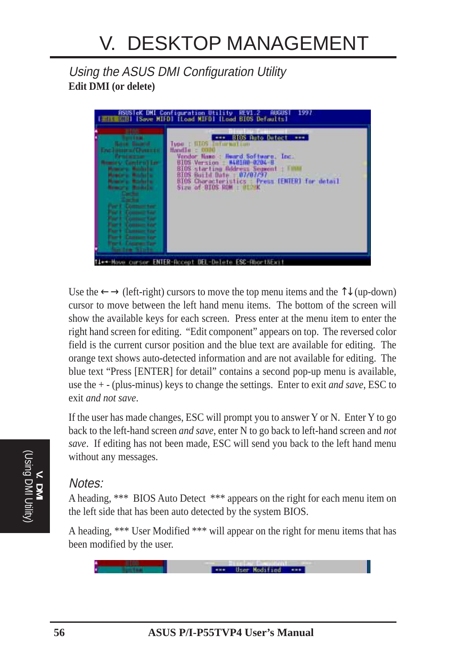### Using the ASUS DMI Configuration Utility **Edit DMI (or delete)**



Use the  $\leftarrow \rightarrow$  (left-right) cursors to move the top menu items and the  $\uparrow \downarrow$  (up-down) cursor to move between the left hand menu items. The bottom of the screen will show the available keys for each screen. Press enter at the menu item to enter the right hand screen for editing. "Edit component" appears on top. The reversed color field is the current cursor position and the blue text are available for editing. The orange text shows auto-detected information and are not available for editing. The blue text "Press [ENTER] for detail" contains a second pop-up menu is available, use the + - (plus-minus) keys to change the settings. Enter to exit *and save*, ESC to exit *and not save*.

If the user has made changes, ESC will prompt you to answer Y or N. Enter Y to go back to the left-hand screen *and save*, enter N to go back to left-hand screen and *not save*. If editing has not been made, ESC will send you back to the left hand menu without any messages.

#### Notes:

A heading, \*\*\* BIOS Auto Detect \*\*\* appears on the right for each menu item on the left side that has been auto detected by the system BIOS.

A heading, \*\*\* User Modified \*\*\* will appear on the right for menu items that has been modified by the user.

**Union Model and School**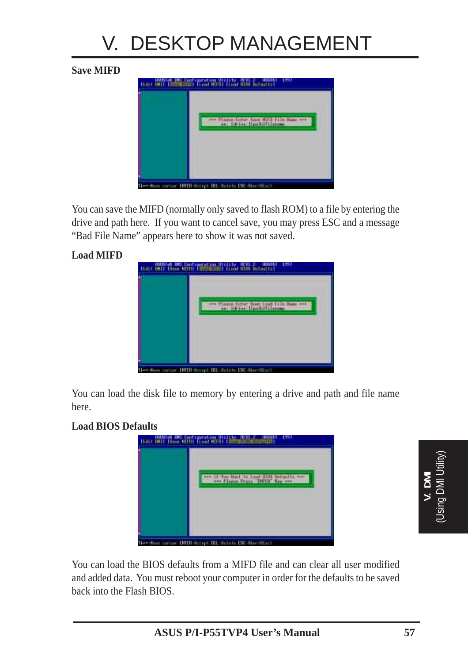# V. DESKTOP MANAGEMENT

**Save MIFD**



You can save the MIFD (normally only saved to flash ROM) to a file by entering the drive and path here. If you want to cancel save, you may press ESC and a message "Bad File Name" appears here to show it was not saved.

#### **Load MIFD**



You can load the disk file to memory by entering a drive and path and file name here.

#### **Load BIOS Defaults**



(Using DMI Utility)Using DMI Utility **V. DMI**

You can load the BIOS defaults from a MIFD file and can clear all user modified and added data. You must reboot your computer in order for the defaults to be saved back into the Flash BIOS.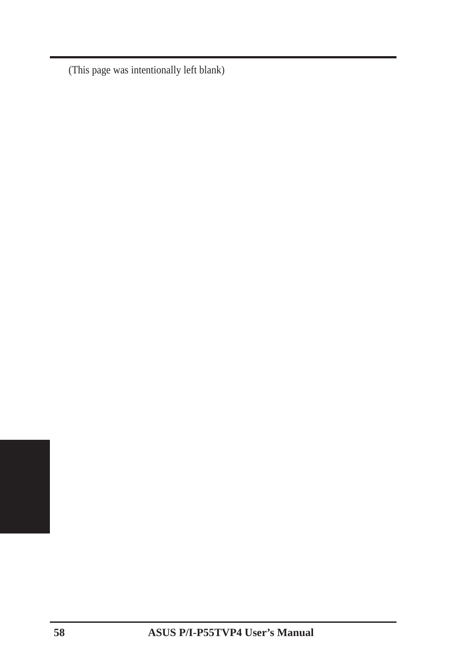(This page was intentionally left blank)

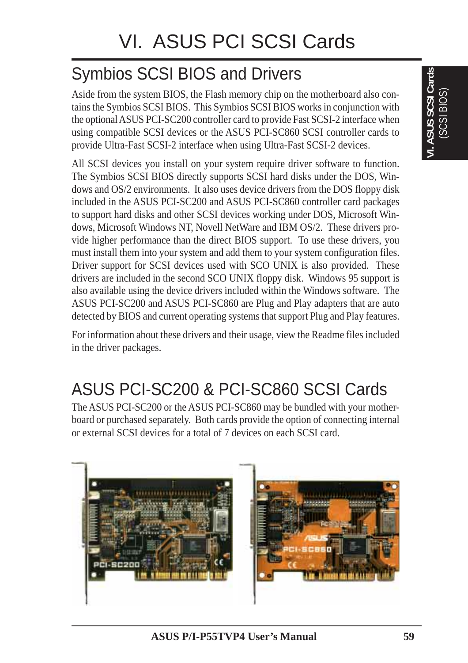## Symbios SCSI BIOS and Drivers

Aside from the system BIOS, the Flash memory chip on the motherboard also contains the Symbios SCSI BIOS. This Symbios SCSI BIOS works in conjunction with the optional ASUS PCI-SC200 controller card to provide Fast SCSI-2 interface when using compatible SCSI devices or the ASUS PCI-SC860 SCSI controller cards to provide Ultra-Fast SCSI-2 interface when using Ultra-Fast SCSI-2 devices.

All SCSI devices you install on your system require driver software to function. The Symbios SCSI BIOS directly supports SCSI hard disks under the DOS, Windows and OS/2 environments. It also uses device drivers from the DOS floppy disk included in the ASUS PCI-SC200 and ASUS PCI-SC860 controller card packages to support hard disks and other SCSI devices working under DOS, Microsoft Windows, Microsoft Windows NT, Novell NetWare and IBM OS/2. These drivers provide higher performance than the direct BIOS support. To use these drivers, you must install them into your system and add them to your system configuration files. Driver support for SCSI devices used with SCO UNIX is also provided. These drivers are included in the second SCO UNIX floppy disk. Windows 95 support is also available using the device drivers included within the Windows software. The ASUS PCI-SC200 and ASUS PCI-SC860 are Plug and Play adapters that are auto detected by BIOS and current operating systems that support Plug and Play features.

For information about these drivers and their usage, view the Readme files included in the driver packages.

# ASUS PCI-SC200 & PCI-SC860 SCSI Cards

The ASUS PCI-SC200 or the ASUS PCI-SC860 may be bundled with your motherboard or purchased separately. Both cards provide the option of connecting internal or external SCSI devices for a total of 7 devices on each SCSI card.

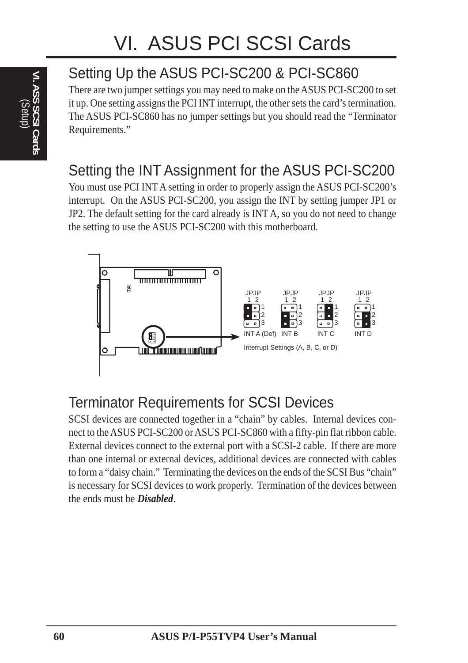## Setting Up the ASUS PCI-SC200 & PCI-SC860

There are two jumper settings you may need to make on the ASUS PCI-SC200 to set it up. One setting assigns the PCI INT interrupt, the other sets the card's termination. The ASUS PCI-SC860 has no jumper settings but you should read the "Terminator Requirements."

## Setting the INT Assignment for the ASUS PCI-SC200

You must use PCI INT A setting in order to properly assign the ASUS PCI-SC200's interrupt. On the ASUS PCI-SC200, you assign the INT by setting jumper JP1 or JP2. The default setting for the card already is INT A, so you do not need to change the setting to use the ASUS PCI-SC200 with this motherboard.



## Terminator Requirements for SCSI Devices

SCSI devices are connected together in a "chain" by cables. Internal devices connect to the ASUS PCI-SC200 or ASUS PCI-SC860 with a fifty-pin flat ribbon cable. External devices connect to the external port with a SCSI-2 cable. If there are more than one internal or external devices, additional devices are connected with cables to form a "daisy chain." Terminating the devices on the ends of the SCSI Bus "chain" is necessary for SCSI devices to work properly. Termination of the devices between the ends must be *Disabled*.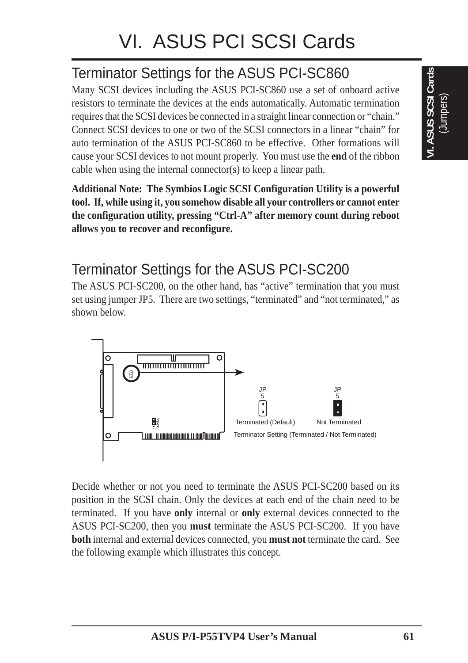## Terminator Settings for the ASUS PCI-SC860

Many SCSI devices including the ASUS PCI-SC860 use a set of onboard active resistors to terminate the devices at the ends automatically. Automatic termination requires that the SCSI devices be connected in a straight linear connection or "chain." Connect SCSI devices to one or two of the SCSI connectors in a linear "chain" for auto termination of the ASUS PCI-SC860 to be effective. Other formations will cause your SCSI devices to not mount properly. You must use the **end** of the ribbon cable when using the internal connector(s) to keep a linear path.

**Additional Note: The Symbios Logic SCSI Configuration Utility is a powerful tool. If, while using it, you somehow disable all your controllers or cannot enter the configuration utility, pressing "Ctrl-A" after memory count during reboot allows you to recover and reconfigure.**

## Terminator Settings for the ASUS PCI-SC200

The ASUS PCI-SC200, on the other hand, has "active" termination that you must set using jumper JP5. There are two settings, "terminated" and "not terminated," as shown below.



Decide whether or not you need to terminate the ASUS PCI-SC200 based on its position in the SCSI chain. Only the devices at each end of the chain need to be terminated. If you have **only** internal or **only** external devices connected to the ASUS PCI-SC200, then you **must** terminate the ASUS PCI-SC200. If you have **both** internal and external devices connected, you **must not** terminate the card. See the following example which illustrates this concept.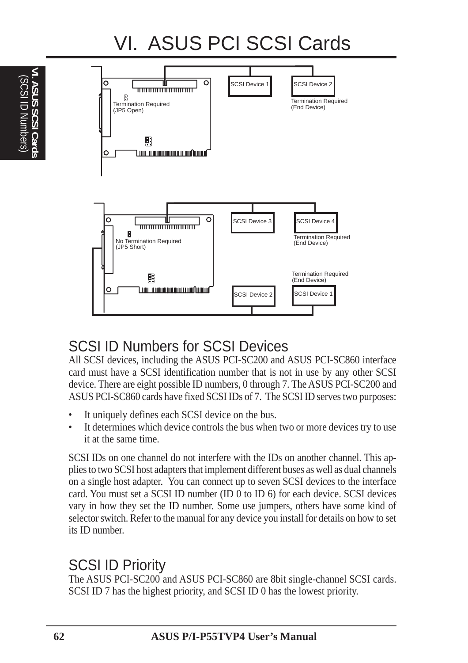# VI. ASUS PCI SCSI Cards



## SCSI ID Numbers for SCSI Devices

All SCSI devices, including the ASUS PCI-SC200 and ASUS PCI-SC860 interface card must have a SCSI identification number that is not in use by any other SCSI device. There are eight possible ID numbers, 0 through 7. The ASUS PCI-SC200 and ASUS PCI-SC860 cards have fixed SCSI IDs of 7. The SCSI ID serves two purposes:

- It uniquely defines each SCSI device on the bus.
- It determines which device controls the bus when two or more devices try to use it at the same time.

SCSI IDs on one channel do not interfere with the IDs on another channel. This applies to two SCSI host adapters that implement different buses as well as dual channels on a single host adapter. You can connect up to seven SCSI devices to the interface card. You must set a SCSI ID number (ID 0 to ID 6) for each device. SCSI devices vary in how they set the ID number. Some use jumpers, others have some kind of selector switch. Refer to the manual for any device you install for details on how to set its ID number.

### SCSI ID Priority

The ASUS PCI-SC200 and ASUS PCI-SC860 are 8bit single-channel SCSI cards. SCSI ID 7 has the highest priority, and SCSI ID 0 has the lowest priority.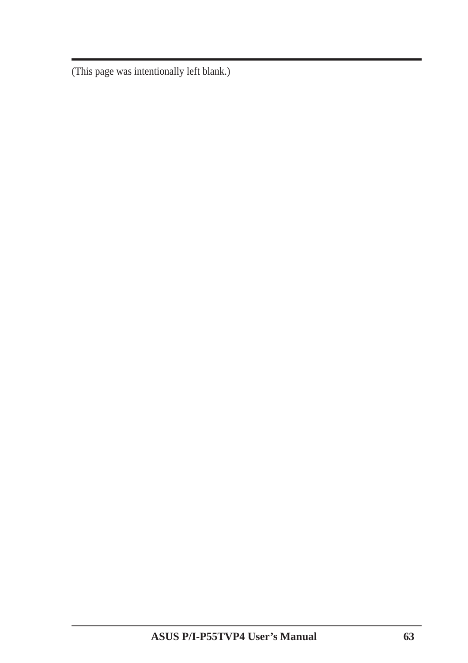(This page was intentionally left blank.)